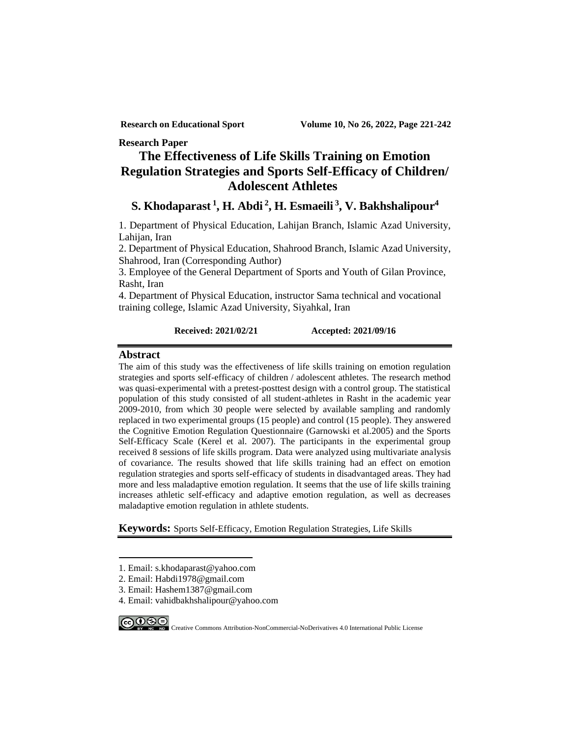**Research Paper**

# **The Effectiveness of Life Skills Training on Emotion Regulation Strategies and Sports Self-Efficacy of Children/ Adolescent Athletes<sup>1</sup>**

# **4 , V. [Bakhshalipour](http://cjhaa.mubabol.ac.ir/search.php?slc_lang=en&sid=1&auth=Bakhshalipour) <sup>3</sup> , H. [Esmaeili](http://cjhaa.mubabol.ac.ir/search.php?slc_lang=en&sid=1&auth=Bakhshalipour) Abdi <sup>2</sup> , H. Khodaparast <sup>1</sup> S.**

1. Department of Physical Education, Lahijan Branch, Islamic Azad University, Lahijan, Iran

2. Department of Physical Education, Shahrood Branch, Islamic Azad University, Shahrood, Iran (Corresponding Author)

3. Employee of the General Department of Sports and Youth of Gilan Province, Rasht, Iran

4. Department of Physical Education, instructor Sama technical and vocational training college, Islamic Azad University, Siyahkal, Iran

### **Received: 2021/02/21 Accepted: 2021/09/16**

### **Abstract**

The aim of this study was the effectiveness of life skills training on emotion regulation strategies and sports self-efficacy of children / adolescent athletes. The research method was quasi-experimental with a pretest-posttest design with a control group. The statistical population of this study consisted of all student-athletes in Rasht in the academic year 2009-2010, from which 30 people were selected by available sampling and randomly replaced in two experimental groups (15 people) and control (15 people). They answered the Cognitive Emotion Regulation Questionnaire (Garnowski et al.2005) and the Sports Self-Efficacy Scale (Kerel et al. 2007). The participants in the experimental group received 8 sessions of life skills program. Data were analyzed using multivariate analysis of covariance. The results showed that life skills training had an effect on emotion regulation strategies and sports self-efficacy of students in disadvantaged areas. They had more and less maladaptive emotion regulation. It seems that the use of life skills training increases athletic self-efficacy and adaptive emotion regulation, as well as decreases maladaptive emotion regulation in athlete students.

**Keywords:** Sports Self-Efficacy, Emotion Regulation Strategies, Life Skills

- 1. Email: s.khodaparast@yahoo.com
- 2. Email: Habdi1978@gmail.com
- 3. Email: Hashem1387@gmail.com
- 4. Email: vahidbakhshalipour@yahoo.com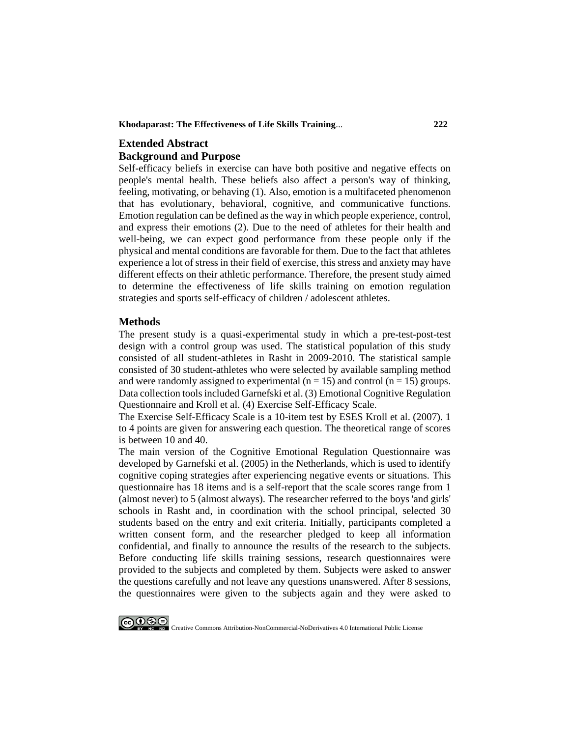**Khodaparast: The Effectiveness of Life Skills Training**... **222**

# **Extended Abstract Background and Purpose**

Self-efficacy beliefs in exercise can have both positive and negative effects on people's mental health. These beliefs also affect a person's way of thinking, feeling, motivating, or behaving (1). Also, emotion is a multifaceted phenomenon that has evolutionary, behavioral, cognitive, and communicative functions. Emotion regulation can be defined as the way in which people experience, control, and express their emotions (2). Due to the need of athletes for their health and well-being, we can expect good performance from these people only if the physical and mental conditions are favorable for them. Due to the fact that athletes experience a lot of stress in their field of exercise, this stress and anxiety may have different effects on their athletic performance. Therefore, the present study aimed to determine the effectiveness of life skills training on emotion regulation strategies and sports self-efficacy of children / adolescent athletes.

### **Methods**

The present study is a quasi-experimental study in which a pre-test-post-test design with a control group was used. The statistical population of this study consisted of all student-athletes in Rasht in 2009-2010. The statistical sample consisted of 30 student-athletes who were selected by available sampling method and were randomly assigned to experimental ( $n = 15$ ) and control ( $n = 15$ ) groups. Data collection tools included Garnefski et al. (3) Emotional Cognitive Regulation Questionnaire and Kroll et al. (4) Exercise Self-Efficacy Scale .

The Exercise Self-Efficacy Scale is a 10-item test by ESES Kroll et al. (2007). 1 to 4 points are given for answering each question. The theoretical range of scores is between 10 and 40.

The main version of the Cognitive Emotional Regulation Questionnaire was developed by Garnefski et al. (2005) in the Netherlands, which is used to identify cognitive coping strategies after experiencing negative events or situations. This questionnaire has 18 items and is a self-report that the scale scores range from 1 (almost never) to 5 (almost always). The researcher referred to the boys 'and girls' schools in Rasht and, in coordination with the school principal, selected 30 students based on the entry and exit criteria. Initially, participants completed a written consent form, and the researcher pledged to keep all information confidential, and finally to announce the results of the research to the subjects. Before conducting life skills training sessions, research questionnaires were provided to the subjects and completed by them. Subjects were asked to answer the questions carefully and not leave any questions unanswered. After 8 sessions, the questionnaires were given to the subjects again and they were asked to

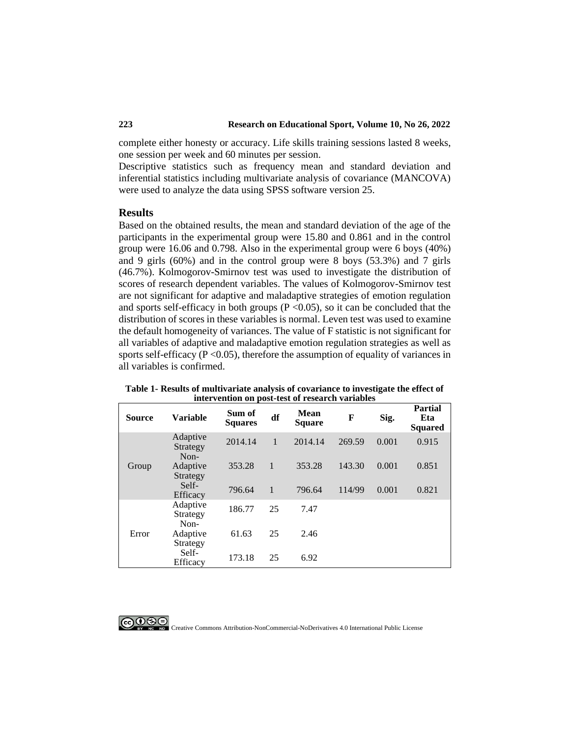complete either honesty or accuracy. Life skills training sessions lasted 8 weeks, one session per week and 60 minutes per session.

Descriptive statistics such as frequency mean and standard deviation and inferential statistics including multivariate analysis of covariance (MANCOVA) were used to analyze the data using SPSS software version 25.

### **Results**

Based on the obtained results, the mean and standard deviation of the age of the participants in the experimental group were 15.80 and 0.861 and in the control group were 16.06 and 0.798. Also in the experimental group were 6 boys (40%) and 9 girls (60%) and in the control group were 8 boys (53.3%) and 7 girls (46.7%). Kolmogorov-Smirnov test was used to investigate the distribution of scores of research dependent variables. The values of Kolmogorov-Smirnov test are not significant for adaptive and maladaptive strategies of emotion regulation and sports self-efficacy in both groups  $(P \le 0.05)$ , so it can be concluded that the distribution of scores in these variables is normal. Leven test was used to examine the default homogeneity of variances. The value of F statistic is not significant for all variables of adaptive and maladaptive emotion regulation strategies as well as sports self-efficacy ( $P < 0.05$ ), therefore the assumption of equality of variances in all variables is confirmed.

**Table 1- Results of multivariate analysis of covariance to investigate the effect of intervention on post-test of research variables**

| mit chulch on post toot of restar in railword |                                      |                          |    |                              |        |       |                                         |
|-----------------------------------------------|--------------------------------------|--------------------------|----|------------------------------|--------|-------|-----------------------------------------|
| <b>Source</b>                                 | <b>Variable</b>                      | Sum of<br><b>Squares</b> | df | <b>Mean</b><br><b>Square</b> | F      | Sig.  | <b>Partial</b><br>Eta<br><b>Squared</b> |
| Group                                         | Adaptive<br>Strategy<br>Non-         | 2014.14                  | 1  | 2014.14                      | 269.59 | 0.001 | 0.915                                   |
|                                               | Adaptive                             | 353.28                   | 1  | 353.28                       | 143.30 | 0.001 | 0.851                                   |
|                                               | Strategy<br>Self-<br><b>Efficacy</b> | 796.64                   | 1  | 796.64                       | 114/99 | 0.001 | 0.821                                   |
| Error                                         | Adaptive<br>Strategy<br>Non-         | 186.77                   | 25 | 7.47                         |        |       |                                         |
|                                               | Adaptive                             | 61.63                    | 25 | 2.46                         |        |       |                                         |
|                                               | Strategy<br>Self-<br>Efficacy        | 173.18                   | 25 | 6.92                         |        |       |                                         |

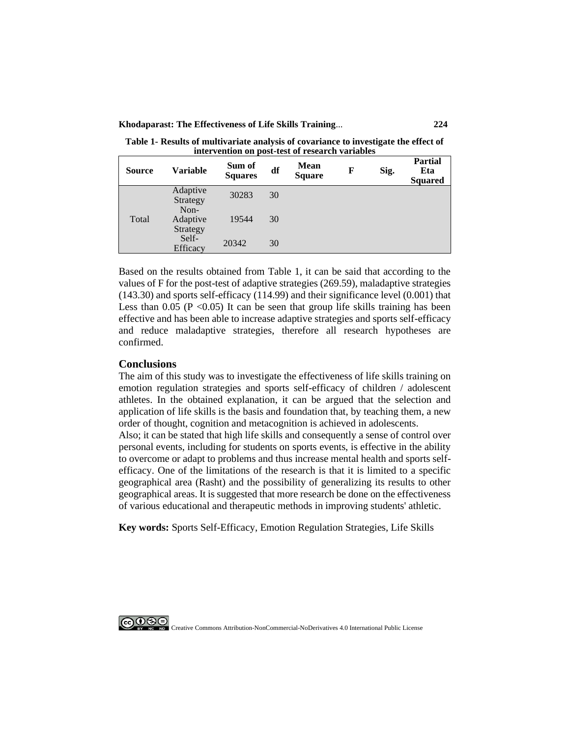**Khodaparast: The Effectiveness of Life Skills Training**... **224**

**Table 1- Results of multivariate analysis of covariance to investigate the effect of intervention on post-test of research variables**

| <b>Source</b> | <b>Variable</b>              | Sum of<br><b>Squares</b> | df | <b>Mean</b><br><b>Square</b> | F | Sig. | <b>Partial</b><br>Eta<br><b>Squared</b> |
|---------------|------------------------------|--------------------------|----|------------------------------|---|------|-----------------------------------------|
| Total         | Adaptive<br>Strategy         | 30283                    | 30 |                              |   |      |                                         |
|               | Non-<br>Adaptive<br>Strategy | 19544                    | 30 |                              |   |      |                                         |
|               | Self-<br>Efficacy            | 20342                    | 30 |                              |   |      |                                         |

Based on the results obtained from Table 1, it can be said that according to the values of F for the post-test of adaptive strategies (269.59), maladaptive strategies (143.30) and sports self-efficacy (114.99) and their significance level (0.001) that Less than  $0.05$  (P < 0.05) It can be seen that group life skills training has been effective and has been able to increase adaptive strategies and sports self-efficacy and reduce maladaptive strategies, therefore all research hypotheses are confirmed.

### **Conclusions**

The aim of this study was to investigate the effectiveness of life skills training on emotion regulation strategies and sports self-efficacy of children / adolescent athletes. In the obtained explanation, it can be argued that the selection and application of life skills is the basis and foundation that, by teaching them, a new order of thought, cognition and metacognition is achieved in adolescents.

Also; it can be stated that high life skills and consequently a sense of control over personal events, including for students on sports events, is effective in the ability to overcome or adapt to problems and thus increase mental health and sports selfefficacy. One of the limitations of the research is that it is limited to a specific geographical area (Rasht) and the possibility of generalizing its results to other geographical areas. It is suggested that more research be done on the effectiveness of various educational and therapeutic methods in improving students' athletic.

**Key words:** Sports Self-Efficacy, Emotion Regulation Strategies, Life Skills

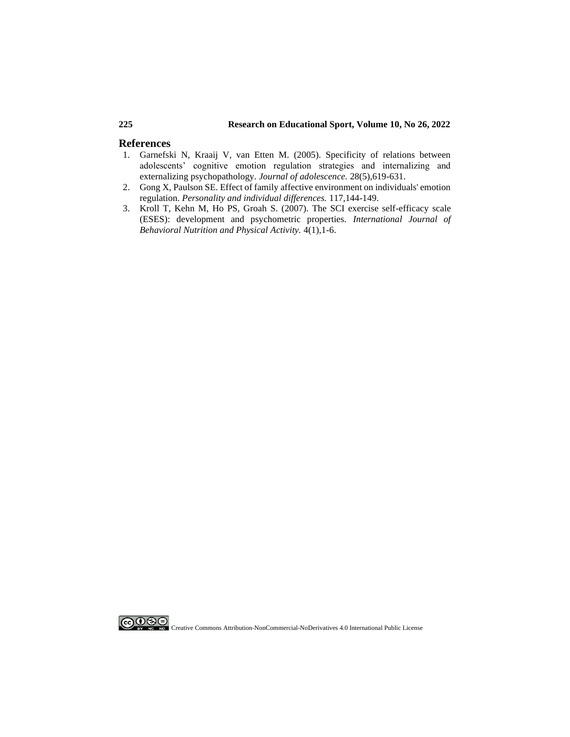### **225 Research on Educational Sport, Volume 10, No 26, 2022**

### **References**

- 1. [Garnefski N, Kraaij V, van Etten M. \(2005\). Specificity of relations between](https://www.sciencedirect.com/science/article/abs/pii/S0140197105000084)  [adolescents' cognitive emotion regulation strategies and internalizing and](https://www.sciencedirect.com/science/article/abs/pii/S0140197105000084)  [externalizing psychopathology.](https://www.sciencedirect.com/science/article/abs/pii/S0140197105000084) *Journal of adolescence.* 28(5),619-631.
- 2. [Gong X, Paulson SE. Effect of family affective environment on individuals' emotion](https://www.sciencedirect.com/science/article/abs/pii/S0191886917303847)  regulation. *[Personality and individual differences.](https://www.sciencedirect.com/science/article/abs/pii/S0191886917303847)* 117,144-149.
- 3. Kroll T, Kehn M, Ho PS, Groah [S. \(2007\). The SCI exercise self-efficacy scale](https://ijbnpa.biomedcentral.com/track/pdf/10.1186/1479-5868-4-34.pdf)  [\(ESES\): development and psychometric properties.](https://ijbnpa.biomedcentral.com/track/pdf/10.1186/1479-5868-4-34.pdf) *International Journal of [Behavioral Nutrition and Physical](https://ijbnpa.biomedcentral.com/track/pdf/10.1186/1479-5868-4-34.pdf) Activity.* 4(1),1-6.

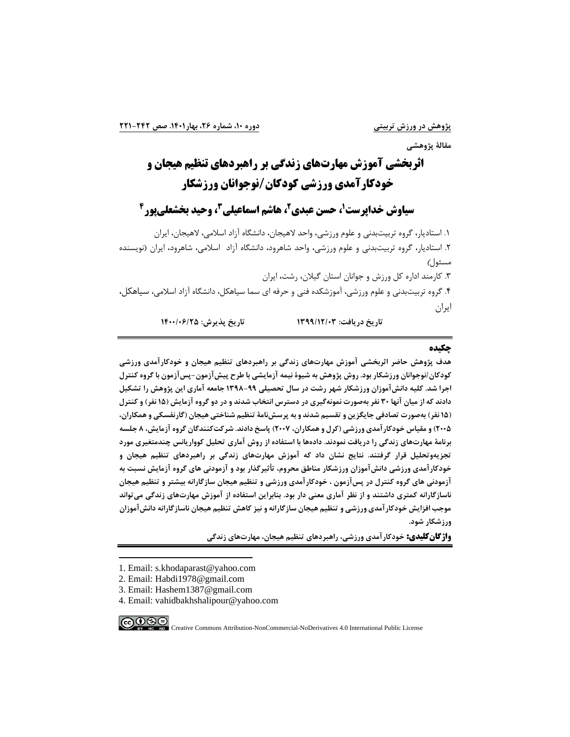**مقالة پژوهشی**

# **اثربخشی آموزش مهارتهای زندگی بر راهبردهای تنظیم هیجان و** 1 **خودکارآمدی ورزش ی کودکان/نوجوانان ورزشکار**

# **2 ، حسن عبدی <sup>1</sup> سیاوش خداپرست 3 ، هاشم اسماعیلی 4 ، وحید بخشعلیپور**

.1 استادیار، گروه تربیتبدنی و علوم ورزشی، واحد الهیجان، دانشگاه آزاد اسالمی، الهیجان، ایران .2 استادیار، گروه تربیتبدنی و علوم ورزشی، واحد شاهرود، دانشگاه آزاد اسالمی، شاهرود، ایران )نویسنده مسئول(

.3 کارمند اداره کل ورزش و جوانان استان گیالن، رشت، ایران .4 گروه تربیتبدنی و علوم ورزشی، آموزشکده فنی و حرفه ای سما سیاهکل، دانشگاه آزاد اسالمی، سیاهکل، ایران

**تاريخ دريافت: 1399/12/03 تاريخ پذيرش: 1400/06/25** 

### **چکیده**

**هدف پژوهش حاضر اثربخش ی آموزش مهارتهای زندگی بر راهبردهای تنظیم هیجان و خودکارآمدی ورزشی کودکان/نوجوانان ورزشکار بود. روش پژوهش به شیوۀ نیمه آزمايشی با طرح پیشآزمون-پسآزمون با گروه کنترل اجرا شد. کلیه دانشآموزان ورزشکار شهر رشت در سال تحصیلی 1398-99 جامعه آماری اين پژوهش را تشکیل دادند که از میان آنها 30 نفر بهصورت نمونهگیری در دسترس انتخاب شدند و در دو گروه آزمايش )15 نفر( و کنترل )15 نفر( بهصورت تصادفی جايگزين و تقسیم شدند و به پرسشنامة تنظیم شناختی هیجان )گارنفسکی و همکاران، 2005( و مقیاس خودکارآمدی ورزشی )کرل و همکاران، 2007( پاسخ دادند. شرکتکنندگان گروه آزمايش، 8 جلسه برنامة مهارتهای زندگی را دريافت نمودند. دادهها با استفاده از روش آماری تحلیل کوواريانس چندمتغیری مورد تجزيه وتحلیل قرار گرفتند. نتايج نشان داد که آموزش مهارتهای زندگی بر راهبردهای تنظیم هیجان و خودکارآمدی ورزشی دانشآموزان ورزشکار مناطق محروم، تأثیرگذار بود و آزمودنی های گروه آزمايش نسبت به آزمودنی های گروه کنترل در پس آزمون ، خودکارآمدی ورزشی و تنظیم هیجان سازگارانه بیشتر و تنظیم هیجان**  ناسازگارانه کمتری داشتند و از نظر آماری معنی دار بود. بنابراین استفاده از آموزش مهارتهای زندگی می *ت*واند **موجب افزايش خودکارآمدی ورزشی و تنظیم هیجان سازگارانه و نیز کاهش تنظیم هیجان ناسازگارانه دانشآموزان ورزشکار شود.**

**واژگانکلیدی: خودکارآمدی ورزشی، راهبردهای تنظیم هیجان، مهارتها ی زندگی**

 $\bigodot \limits_{\mathbb{R}} \bigodot \limits_{\mathbb{R}} \bigodot \limits_{\mathbb{R}} \bigodot \limits_{\mathbb{R}}$ 

<sup>1.</sup> Email: s.khodaparast@yahoo.com

<sup>2.</sup> Email: Habdi1978@gmail.com

<sup>3.</sup> Email: Hashem1387@gmail.com

<sup>4.</sup> Email: vahidbakhshalipour@yahoo.com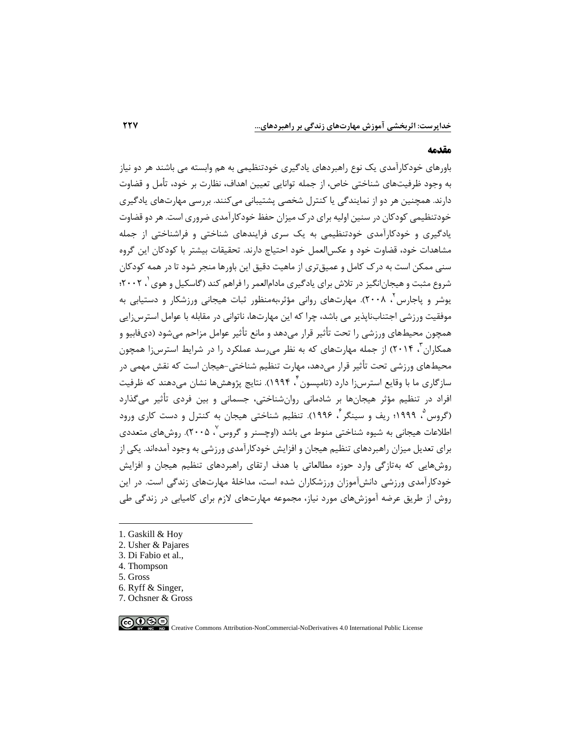### **مقدمه**

باورهای خودکارآمدی یک نوع راهبردهای یادگیری خودتنظیمی به هم وابسته می باشند هر دو نیاز به وجود ظرفیتهای شناختی خاص، از جمله توانایی تعیین اهداف، نظارت بر خود، تأمل و قضاوت دارند. همچنین هر دو از نمایندگی یا کنترل شخصی پشتیبانی میکنند. بررسی مهارتهای یادگیری خودتنظیمی کودکان در سنین اولیه برای درک میزان حفظ خودکارآمدی ضروری است. هر دو قضاوت یادگیری و خودکارآمدی خودتنظیمی به یک سری فرایندهای شناختی و فراشناختی از جمله مشاهدات خود، قضاوت خود و عکسالعمل خود احتیاج دارند. تحقیقات بیشتر با کودکان این گروه سنی ممکن است به درک کامل و عمیقتری از ماهیت دقیق این باورها منجر شود تا در همه کودکان شروع مثبت و هیجان|نگیز در تلاش برای یادگیری مادام|لعمر را فراهم کند (گاسکیل و هوی <sup>۱</sup>، ۲۰۰۲؛ 2 یوشر و پاجارس ، 2008(. مهارتهای روانی مؤثر،بهمنظور ثبات هیجانی ورزشکار و دستیابی به موفقیت ورزشی اجتنابناپذیر می باشد، چرا که این مهارتها، ناتوانی در مقابله با عوامل استرس زایی همچون محیطهای ورزشی را تحت تأثیر قرار می۵هد و مانع تأثیر عوامل مزاحم می شود (دیفابیو و همکاران <sup>۳</sup>، ۲۰۱۴) از جمله مهارتهای که به نظر م<sub>یا</sub>رسد عملکرد را در شرایط استرسi( همچون محیطهای ورزشی تحت تأثیر قرار میدهد، مهارت تنظیم شناختی-هیجان است که نقش مهمی در سازگاری ما با وقایع استرسiا دارد (تامپسون ٔ ، ۱۹۹۴). نتایج پژوهشها نشان میدهند که ظرفیت افراد در تنظیم مؤثر هیجانها بر شادمانی روانشناختی، جسمانی و بین فردی تأثیر میگذارد (گروس<sup>۵</sup>، ۱۹۹۹؛ ریف و سینگر <sup>۶</sup>، ۱۹۹۶). تنظیم شناختی هیجان به کنترل و دست کاری ورود اطلاعات هیجانی به شیوه شناختی منوط می باشد (اوچسنر و گروس<sup>۷</sup>، ۲۰۰۵). روشهای متعددی برای تعدیل میزان راهبردهای تنظیم هیجان و افزایش خودکارآمدی ورزشی به وجود آمدهاند. یکی از روشهایی که بهتازگی وارد حوزه مطالعاتی با هدف ارتقای راهبردهای تنظیم هیجان و افزایش خودکارآمدی ورزشی دانشآموزان ورزشکاران شده است، مداخلۀ مهارتهای زندگی است. در این روش از طریق عرضه آموزش های مورد نیاز، مجموعه مهارتهای الزم برای کامیابی در زندگی طی

- 1. Gaskill & Hoy
- 2. Usher & Pajares
- 3. Di Fabio et al.,
- 4. Thompson
- 5. Gross
- 6. Ryff & Singer,
- 7. Ochsner & Gross

ெ⊕ை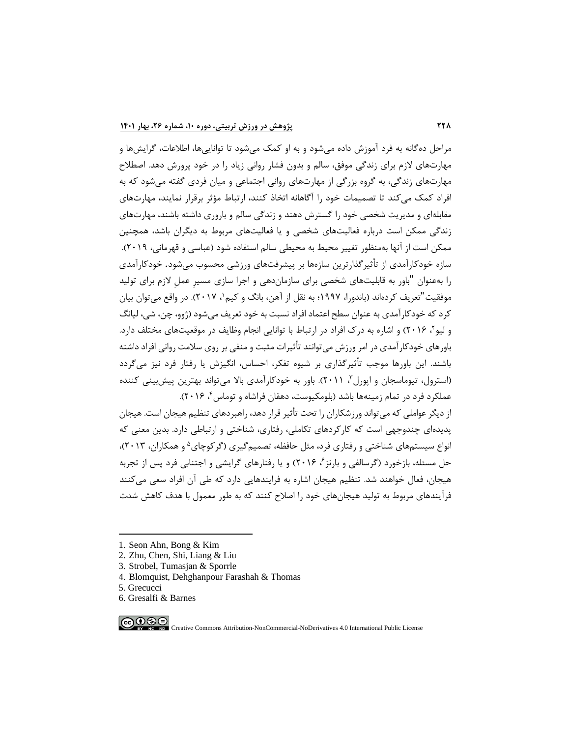مراحل دهگانه به فرد آموزش داده میشود و به او کمک میشود تا تواناییها، اطالعات، گرایشها و مهارتهای الزم برای زندگی موفق، سالم و بدون فشار روانی زیاد را در خود پرورش دهد. اصطالح مهارتهای زندگی، به گروه بزرگی از مهارتهای روانی اجتماعی و میان فردی گفته میشود که به افراد کمک میکند تا تصمیمات خود را آگاهانه اتخاذ کنند، ارتباط مؤثر برقرار نمایند، مهارتهای مقابلهای و مدیریت شخصی خود را گسترش دهند و زندگی سالم و باروری داشته باشند، مهارتهای زندگی ممکن است درباره فعالیتهای شخصی و یا فعالیتهای مربوط به دیگران باشد، همچنین ممکن است از آنها بهمنظور تغییر محیط به محیطی سالم استفاده شود )عباسی و قهرمانی، 2019(. سازه خودکارآمدی از تأثیرگذارترین سازهها بر پ یشرفتهای ورزشی محسوب میشود. خودکارآمدی را به عنوان "باور به قابلیتهای شخصی برای سازمان دهی و اجرا سازی مسیرِ عملِ الزم برای تولید موفقیت"تعریف کردهاند (باندورا، ۱۹۹۷؛ به نقل از آهن، بانگ و کیم ٰ، ۲۰۱۷). در واقع میتوان بیان کرد که خودکارآمدی به عنوان سطح اعتماد افراد نسبت به خود تعریف میشود )ژوو، چن، شی، لیانگ و لیو<sup>۲</sup>، ۲۰۱۶) و اشاره به درک افراد در ارتباط با توانایی انجام وظایف در موقعیتهای مختلف دارد. باورهای خودکارآمدی در امر ورزش میتوانند تأثیرات مثبت و منفی بر روی سالمت روانی افراد داشته باشند. این باورها موجب تأثیرگذاری بر شیوه تفکر، احساس، انگیزش یا رفتار فرد نیز میگردد (استرول، تیوماسجان و اپورل"، ۲۰۱۱). باور به خودکارآمدی بالا میتواند بهترین پیشبینی کننده عملکرد فرد در تمام زمینهها باشد (بلومکیوست، دهقان فراشاه و توماس۴، ۲۰۱۶).

از دیگر عواملی که میتواند ورزشکاران را تحت تأثیر قرار دهد، راهبردهای تنظیم هیجان است. هیجان پدیدهای چندوجهی است که کارکردهای تکاملی، رفتاری، شناختی و ارتباطی دارد. بدین معنی که نواع سیستمهای شناختی و رفتاری فرد، مثل حافظه، تصمیمگیری (گرکوچای<sup>۵</sup> و همکاران، ۲۰۱۳)، حل مسئله، بازخورد (گرسالفی و بارنز<sup>ع</sup>، ۲۰۱۶) و یا رفتارهای گرایشی و اجتنابی فرد پس از تجربه هیجان، فعال خواهند شد. تنظیم هیجان اشاره به فرایندهایی دارد که طی آن افراد سعی میکنند فرآیندهای مربوط به تولید هیجانهای خود را اصالح کنند که به طور معمول با هدف کاهش شدت

∣ை⊛⊜

<sup>1.</sup> Seon Ahn, Bong & Kim

<sup>2.</sup> Zhu, Chen, Shi, Liang & Liu

<sup>3.</sup> Strobel, Tumasjan & Sporrle

<sup>4.</sup> Blomquist, Dehghanpour Farashah & Thomas

<sup>5.</sup> Grecucci

<sup>6.</sup> Gresalfi & Barnes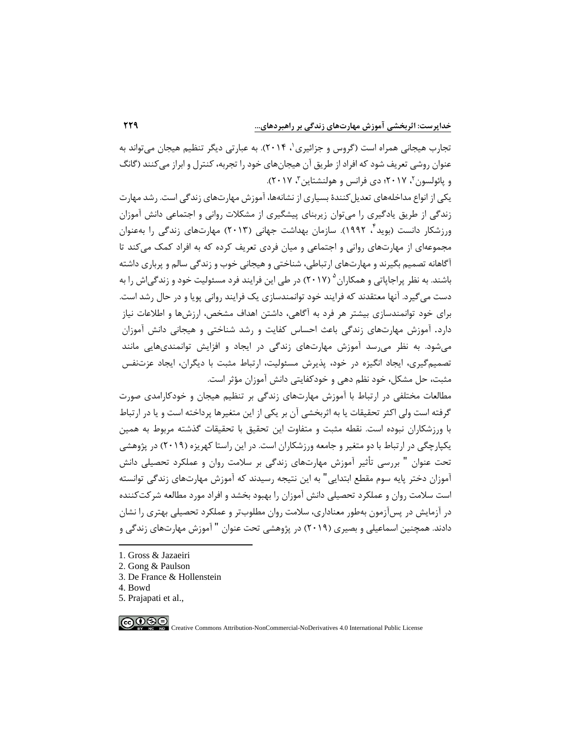نجارب هیجانی همراه است (گروس و جزائیری ٰ، ۲۰۱۴). به عبارتی دیگر تنظیم هیجان میتواند به عنوان روشی تعریف شود که افراد از طریق آن هیجان های خود را تجربه، کنترل و ابراز میکنند )گانگ و پائولسون ۲۰۱۷ ؛ دی فرانس و هولنشتاین ۳ ، ۲۰۱۷).

یکی از انواع مداخلههای تعدیل کنندۀ بسیاری از نشانهها، آموزش مهارتهای زندگی است. رشد مهارت زندگی از طریق یادگیری را می توان زیربنای پیشگیری از مشکلات روانی و اجتماعی دانش آموزان ورزشکار دانست (بوید ٔ ، ۱۹۹۲). سازمان بهداشت جهانی (۲۰۱۳) مهارتهای زندگی را بهعنوان مجموعهای از مهارتهای روانی و اجتماعی و میان فردی تعریف کرده که به افراد کمک می کند تا آگاهانه تصمیم بگیرند و مهارتها ی ارتباطی، شناختی و هیجانی خوب و زندگی سالم و پرباری داشته باشند. به نظر پراجاپاتی و همکاران  $^{(2)}$  (۲۰۱۷) در طی این فرایند فرد مسئولیت خود و زندگیاش را به دست میگیرد. آنها معتقدند که فرایند خود توانمندسازی یک فرایند روانی پویا و در حال رشد است. برای خود توانمندسازی بیشتر هر فرد به آگاهی، داشتن اهداف مشخص، ارزش ها و اطالعات نیاز دارد. آموزش مهارت های زندگی باعث احساس کفایت و رشد شناختی و هیجانی دانش آموزان می شود. به نظر می رسد آموزش مهارتهای زندگی در ایجاد و افزایش توانمندیهایی مانند تصمیمگیری، ایجاد انگیزه در خود، پذیرش مسئولیت، ارتباط مثبت با دیگران، ایجاد عزتنفس مثبت، حل مشکل، خود نظم دهی و خودکفایتی دانش آموزان مؤثر است.

مطالعات مختلفی در ارتباط با آموزش مهارت های زندگی بر تنظیم هیجان و خودکارامدی صورت گرفته است ولی اکثر تحقیقات یا به اثربخشی آن بر یکی از این متغیرها پرداخته است و یا در ارتباط با ورزشکاران نبوده است. نقطه مثبت و متفاوت این تحقیق با تحقیقات گذشته مربوط به همین یکپارچگی در ارتباط با دو متغیر و جامعه ورزشکاران است. در این راستا کهریزه )2019( در پژوهشی تحت عنوان " بررسی تأثیر آموزش مهارتهای زندگی بر سلامت روان و عملکرد تحصیلی دانش آموزان دختر پایه سوم مقطع ابتدایی" به این نتیجه رسیدند که آموزش مهارتهای زندگی توانسته است سالمت روان و عملکرد تحص یلی دانش آموزان را بهبود بخشد و افراد مورد مطالعه شرکت کننده در آزمایش در پسآزمون بهطور معناداری، سالمت روان مطلوبتر و عملکرد تحصیلی بهتری را نشان دادند. همچنین اسماعیلی و بصیری (۲۰۱۹) در پژوهشی تحت عنوان " آموزش مهارتهای زندگی و

- 2. Gong & Paulson
- 3. De France & Hollenstein
- 4. Bowd
- 5. Prajapati et al.,

 $\bigodot \bigodot \bigodot \limits_{{\bf W} \in {\bf W}} \bigodot \bigodot \limits_{{\bf W} \in {\bf W}}$ 

<sup>1.</sup> Gross & Jazaeiri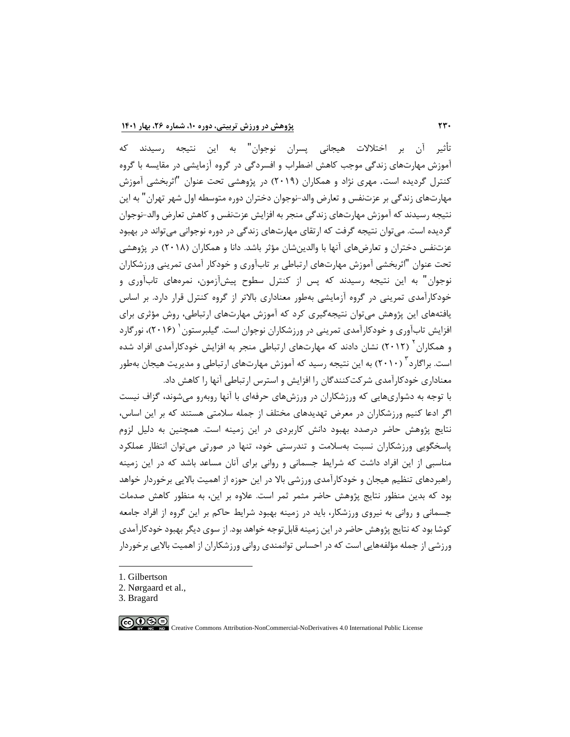تأثیر آن بر اختالالت هیجانی پسران نوجوان" به این نتیجه رسیدند که آموزش مهارت های زندگی موجب کاهش اضطراب و افسردگی در گروه آزمایشی در مقایسه با گروه کنترل گردیده است. مهری نژاد و همکاران )2019( در پژوهشی تحت عنوان "اثربخشی آموزش مهارتهای زندگی بر عزتنفس و تعارض والد -نوجوان دختران دوره متوسطه اول شهر تهران" به این نتیجه رسیدند که آموزش مهارت های زندگی منجر به افزایش عزتنفس و کاهش تعارض والد-نوجوان گردیده است. میتوان نتیجه گرفت که ارتقای مهارتهای زندگی در دوره نوجوانی میتواند در بهبود عزتنفس دختران و تعارضهای آنها با والدین شان مؤثر باشد. دانا و همکاران (۲۰۱۸) در پژوهشی تحت عنوان "اثربخشی آموزش مهارتهای ارتباطی بر تابآوری و خودکار آمدی تمرینی ورزشکاران نوجوان" به این نتیجه رسیدند که پس از کنترل سطوح پ یشآزمون، نمرههای تابآوری و خودکارآمدی تمرینی در گروه آزمایشی بهطور معناداری باالتر از گروه کنترل قرار دارد. بر اساس یافتههای این پژوهش میتوان نتیجه گیری کرد که آموزش مهارتهای ارتباطی، روش مؤثری برای فزایش تابآوری و خودکارآمدی تمرینی در ورزشکاران نوجوان است. گیلبرستون <sup>(</sup> (۲۰۱۶)، نورگارد و همکاران<sup>۲</sup> (۲۰۱۲) نشان دادند که مهارتهای ارتباطی منجر به افزایش خودکارآمدی افراد شده ٔست. براگارد ٌ (۲۰۱۰) به این نتیجه رسید که آموزش مهارتهای ارتباطی و مدیریت هیجان بهطور معناداری خودکارآمدی شرکتکنندگان را افزایش و استرس ارتباطی آنها را کاهش داد.

با توجه به دشواری هایی که ورزشکاران در ورزشهای حرفهای با آنها روبهرو میشوند، گزاف نیست اگر ادعا کنیم ورزشکاران در معرض تهدیدهای مختلف از جمله سالمتی هستند که بر این اساس، نتایج پژوهش حاضر درصدد بهبود دانش کاربردی در این زمینه است. همچنین به دلیل لزوم پاسخگویی ورزشکاران نسبت به سالمت و تندرستی خود، تنها در صورتی میتوان انتظار عملکرد مناسبی از این افراد داشت که شرایط جسمانی و روانی برای آنان مساعد باشد که در این زمینه راهبردهای تنظیم هیجان و خودکارآمدی ورزشی باال در این حوزه از اهمیت باالیی برخوردار خواهد بود که بدین منظور نتایج پژوهش حاضر مثمر ثمر است. عالوه بر این، به منظور کاهش صدمات جسمانی و روانی به نیروی ورزشکار، باید در زمینه بهبود شرایط حاکم بر این گروه از افراد جامعه کوشا بود که نتایج پژوهش حاضر در این زمینه قابل توجه خواهد بود. از سوی دیگر بهبود خودکار آمدی ورزشی از جمله مؤلفه هایی است که در احساس توانمندی روانی ورزشکاران از اهمیت باالیی برخوردار

- 1. Gilbertson
- 2. Nørgaard et al.,
- 3. Bragard

 $\bigcirc$   $\bigcirc$   $\bigcirc$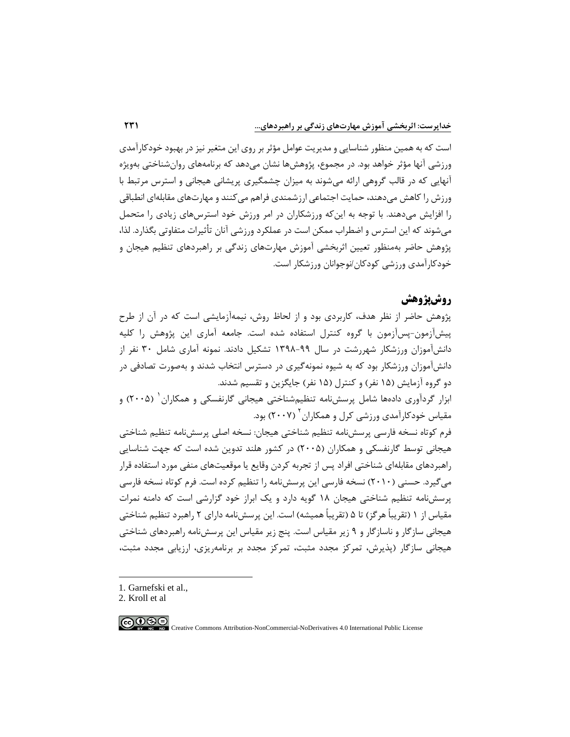است که به همین منظور شناسایی و مدیریت عوامل مؤثر بر روی این متغیر نیز در بهبود خودکارآمدی ورزشی آنها مؤثر خواهد بود. در مجموع، پژوهشها نشان میدهد که برنامههای روانشناختی بهویژه آنهایی که در قالب گروهی ارائه میشوند به میزان چشمگیری پریشانی هیجانی و استرس مرتبط با ورزش را کاهش میدهند، حمایت اجتماعی ارزشمندی فراهم میکنند و مهارتهای مقابلهای انطباقی را افزایش میدهند. با توجه به اینکه ورزشکاران در امر ورزش خود استرس های زیادی را متحمل میشوند که این استرس و اضطراب ممکن است در عملکرد ورزشی آنان تأثیرات متفاوتی بگذارد. لذا، پژوهش حاضر بهمنظور تعیین اثربخشی آموزش مهارتهای زندگی بر راهبردهای تنظیم هیجان و خودکارآمدی ورزشی کودکان/نوجوانان ورزشکار است.

# **روشپژوهش**

پژوهش حاضر از نظر هدف، کاربردی بود و از لحاظ روش، نیمه آزمایشی است که در آن از طرح پیشآزمون-پسآزمون با گروه کنترل استفاده شده است. جامعه آماری این پژوهش را کلیه دانشآموزان ورزشکار شهررشت در سال 1398-99 تشکیل دادند. نمونه آماری شامل 30 نفر از دانشآموزان ورزشکار بود که به شیوه نمونه گیری در دسترس انتخاب شدند و بهصورت تصادفی در دو گروه آزمایش (۱۵ نفر) و کنترل (۱۵ نفر) جایگزین و تقسیم شدند.

بزار گردآوری دادهها شامل پرسشنامه تنظیمشناختی هیجانی گارنفسکی و همکاران <sup>(</sup> (۲۰۰۵) و مقیاس خودکارآمدی ورزشی کرل و همکاران<sup>۲</sup> (۲۰۰۷) بود.

فرم کوتاه نسخه فارسی پرسشنامه تنظیم شناختی هیجان: نسخه اصلی پرسشنامه تنظیم شناختی هیجانی توسط گارنفسکی و همکاران )2005( در کشور هلند تدوین شده است که جهت شناسایی راهبردهای مقابلهای شناختی افراد پس از تجربه کردن وقایع یا موقعیتهای منفی مورد استفاده قرار می گیرد. حسنی (۲۰۱۰) نسخه فارسی این پرسشنامه را تنظیم کرده است. فرم کوتاه نسخه فارسی پرسشنامه تنظیم شناختی هیجان 18 گویه دارد و یک ابراز خود گزارشی است که دامنه نمرات مقیاس از ۱ (تقریباً هرگز) تا ۵ (تقریباً همیشه) است. این پرسشنامه دارای ۲ راهبرد تنظیم شناختی هیجانی سازگار و ناسازگار و 9 زیر مقیاس است. پنج زیر مقیاس این پرسشنامه راهبردهای شناختی هیجانی سازگار )پذیرش، تمرکز مجدد مثبت، تمرکز مجدد بر برنامهریزی، ارزیابی مجدد مثبت،

1. Garnefski et al.,

2. Kroll et al

$$
\bigcirc \mathbb{Q} \bigcirc \mathbb{Q} \bigcirc
$$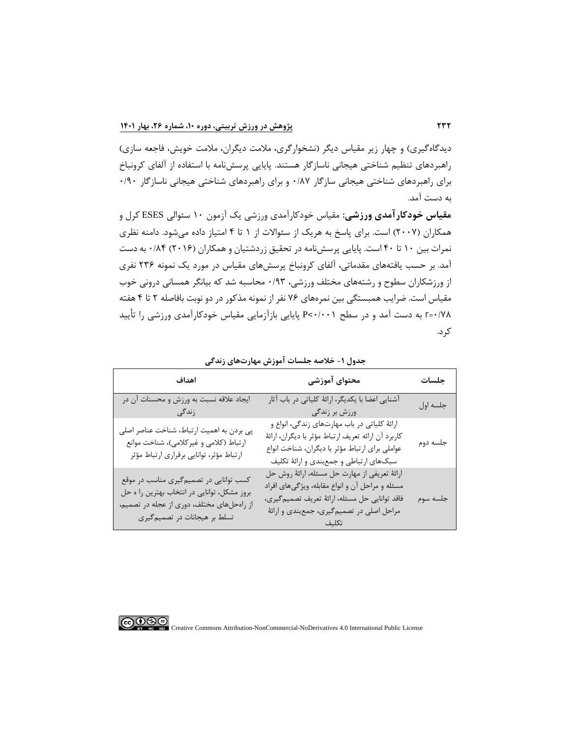دیدگاهگیری) و چهار زیر مقیاس دیگر (نشخوارگری، ملامت دیگران، ملامت خویش، فاجعه سازی) راهبردهای تنظیم شناختی هیجانی ناسازگار هستند. پایایی پرسش نامه با استفاده از آلفای کرونباخ برای راهبردهای شناختی هیجانی سازگار 0/87 و برای راهبردهای شناختی هیجانی ناسازگار 0/90 به دست آمد.

**مقیاس خودکارآمدی ورزشی:** مقیاس خودکارآمدی ورزشی یک آزمون 10 سئوالی ESES کرل و همکاران )2007( است. برای پاسخ به هریک از سئواالت از 1 تا 4 امتیاز داده میشود. دامنه نظری نمرات بین 10 تا 40 است. پایایی پرسشنامه در تحقیق زردشتیان و همکاران )2016( 0/84 به دست آمد. بر حسب یافتههای مقدماتی، آلفای کرونباخ پرسشهای مقیاس در مورد یک نمونه 236 نفری از ورزشکاران سطوح و رشته های مختلف ورزشی، 0/93 محاسبه شد که بیانگر همسانی درونی خوب مقیاس است. ضرایب همبستگی بین نمرههای 76 نفر از نمونه مذکور در دو نوبت بافاصله 2 تا 4 هفته 0/78=r به دست آمد و در سطح 0/001<<sup>P</sup> پایایی بازآزمایی مقیاس خودکارآمدی ورزشی را تأیید کرد.

| اهداف                                                                                                                                                               | محتوای آموزشی                                                                                                                                                                                      | جلسات    |
|---------------------------------------------------------------------------------------------------------------------------------------------------------------------|----------------------------------------------------------------------------------------------------------------------------------------------------------------------------------------------------|----------|
| ايجاد علاقه نسبت به ورزش و محسنات آن در<br>زندگی                                                                                                                    | آشنایی اعضا با یکدیگر، ارائهٔ کلیاتی در باب آثار<br>ورزش بر زندگی                                                                                                                                  | جلسه اول |
| پی بردن به اهمیت ارتباط، شناخت عناصر اصلی<br>ارتباط (کلامی و غیر کلامی)، شناخت موانع<br>ارتباط مؤثر، توانايي برقراري ارتباط مؤثر                                    | ارائهٔ کلیاتی در باب مهارتهای زندگی، انواع و<br>كاربرد آن ارائه تعريف ارتباط مؤثر با ديگران، ارائهٔ<br>عواملی برای ارتباط مؤثر با دیگران، شناخت انواع<br>سبکهای ارتباطی و جمعبندی و ارائهٔ تکلیف   | جلسه دوم |
| کسب توانایی در تصمیمگیری مناسب در موقع<br>بروز مشکل، توانایی در انتخاب بهترین را ه حل<br>از راهحلهای مختلف، دوری از عجله در تصمیم،<br>تسلط بر هیجانات در تصمیم گیری | ارائهٔ تعریفی از مهارت حل مسئله، ارائهٔ روش حل<br>مسئله و مراحل آن و انواع مقابله، ویژگیهای افراد<br>فاقد توانايي حل مسئله، ارائهٔ تعريف تصميم گيري،<br>مراحل اصلی در تصمیم گیری، جمعبندی و ارائهٔ | جلسه سوم |

**جدول -1 خالصه جلسات آموزش مهارتهای زندگی** 

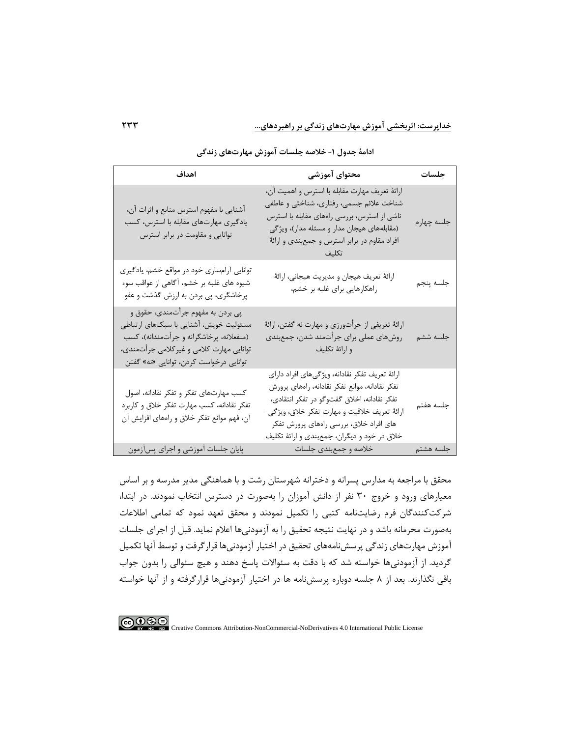### **خداپرست: اثربخشی آموزش مهارتهای زندگی بر راهبردهای...**

| اهداف                                                                                                                                                                                                           | محتوای آموزشی                                                                                                                                                                                                                                                                                | جلسات      |
|-----------------------------------------------------------------------------------------------------------------------------------------------------------------------------------------------------------------|----------------------------------------------------------------------------------------------------------------------------------------------------------------------------------------------------------------------------------------------------------------------------------------------|------------|
| آشنایی با مفهوم استرس منابع و اثرات آن،<br>یادگیری مهارتهای مقابله با استرس، کسب<br>توانایی و مقاومت در برابر استرس                                                                                             | ارائهٔ تعریف مهارت مقابله با استرس و اهمیت آن،<br>شناخت علائم جسمي، رفتاري، شناختي و عاطفي<br>ناشی از استرس، بررسی راههای مقابله با استرس<br>(مقابلههای هیجان مدار و مسئله مدار)، ویژگی<br>افراد مقاوم در برابر استرس و جمعبندی و ارائهٔ                                                     | جلسه چهارم |
| توانایی آرامسازی خود در مواقع خشم، یادگیری<br>شیوه های غلبه بر خشم، آگاهی از عواقب سوء<br>پرخاشگری، پی بردن به ارزش گذشت و عفو                                                                                  | ارائهٔ تعریف هیجان و مدیریت هیجانی، ارائهٔ<br>راهکارهایی برای غلبه بر خشم،                                                                                                                                                                                                                   | جلسه پنجم  |
| پی بردن به مفهوم جرأتمندی، حقوق و<br>مسئولیت خویش، آشنایی با سبکهای ارتباطی<br>(منفعلانه، پرخاشگرانه و جرأتمندانه)، كسب<br>توانایی مهارت کلامی و غیر کلامی جرأتمندی،<br>توانایی درخواست کردن، توانایی «نه» گفتن | ارائهٔ تعریفی از جرأتورزی و مهارت نه گفتن، ارائهٔ<br>روشهای عملی برای جرأتمند شدن، جمعبندی<br>و ارائهٔ تکلیف                                                                                                                                                                                 | جلسه ششم   |
| کسب مهارتهای تفکر و تفکر نقادانه، اصول<br>تفکر نقادانه، کسب مهارت تفکر خلاق و کاربرد<br>آن، فهم موانع تفكر خلاق و راههاي افزايش آن                                                                              | ارائهٔ تعریف تفکر نقادانه، ویژگیهای افراد دارای<br>تفكر نقادانه، موانع تفكر نقادانه، راههاى پرورش<br>تفكر نقادانه، اخلاق گفتوگو در تفكر انتقادى،<br>ارائهٔ تعریف خلاقیت و مهارت تفکر خلاق، ویژگی-<br>های افراد خلاق، بررسی راههای پرورش تفکر<br>خلاق در خود و دیگران، جمعبندی و ارائهٔ تکلیف | جلسه هفتم  |
| پایان جلسات آموزشی و اجرای پسآزمون                                                                                                                                                                              | خلاصه و جمع بندی جلسات                                                                                                                                                                                                                                                                       | جلسه هشتم  |

**ادامة جدول** -**1 خالصه جلسات آموزش مهارتهای زندگی** 

محقق با مراجعه به مدارس پسرانه و دخترانه شهرستان رشت و با هماهنگی مدیر مدرسه و بر اساس معیارهای ورود و خروج 30 نفر از دانش آموزان را به صورت در دسترس انتخاب نمودند. در ابتدا، شرکتکنندگان فرم رضایتنامه کتبی را تکمیل نمودند و محقق تعهد نمود که تمامی اطالعات بهصورت محرمانه باشد و در نها یت نتیجه تحقیق را به آزمودنیها اعالم نماید. قبل از اجرای جلسات آموزش مهارت های زندگی پرسشنامههای تحقیق در اختیار آزمودنی ها قرارگرفت و توسط آنها تکمیل گردید. از آزمودنیها خواسته شد که با دقت به سئواالت پاسخ دهند و هیچ سئوالی را بدون جواب باقی نگذارند. بعد از 8 جلسه دوباره پرسشنامه ها در اختیار آزمودنیها قرارگرفته و از آنها خواسته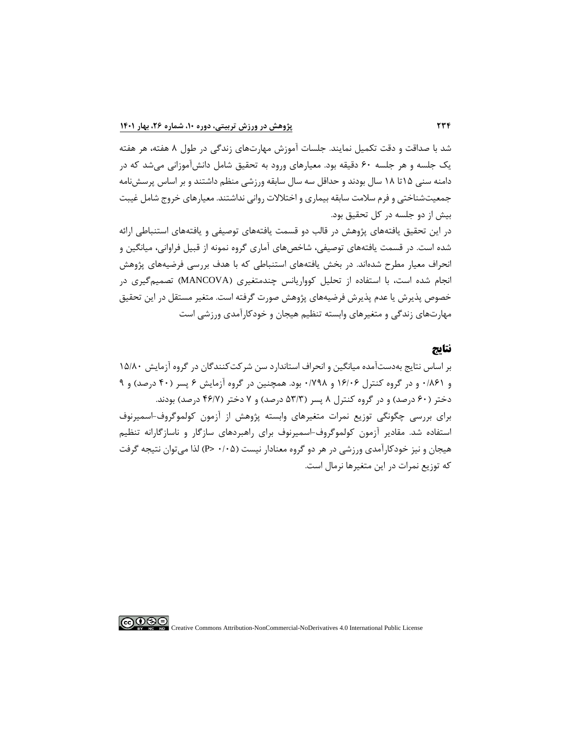شد با صداقت و دقت تکمیل نمایند. جلسات آموزش مهارتهای زندگی در طول 8 هفته، هر هفته یک جلسه و هر جلسه 60 دقیقه بود. معیارهای ورود به تحقیق شامل دانشآموزانی میشد که در دامنه سنی 15تا 18 سال بودند و حداقل سه سال سابقه ورزشی منظم داشتند و بر اساس پرسشنامه جمعیتشناختی و فرم سالمت سابقه بیماری و اختالالت روانی نداشتند. معیارهای خروج شامل غیبت بیش از دو جلسه در کل تحقیق بود.

در این تحقیق یافتههای پژوهش در قالب دو قسمت یافتههای توصیفی و یافتههای استنباطی ارائه شده است. در قسمت یافتههای توصیفی، شاخصهای آماری گروه نمونه از قبیل فراوانی، میانگین و انحراف معیار مطرح شدهاند. در بخش یافتههای استنباطی که با هدف بررسی فرضیههای پژوهش انجام شده است، با استفاده از تحلیل کوواریانس چندمتغیری ) MANCOVA )تصمیمگیری در خصوص پذیرش یا عدم پذیرش فرضیه های پژوهش صورت گرفته است. متغیر مستقل در این تحقیق مهارتهای زندگی و متغیرهای وابسته تنظیم هیجان و خودکارآمدی ورزشی است

# **نتایج**

بر اساس نتایج بهدستآمده میانگین و انحراف استاندارد سن شرکتکنندگان در گروه آزمایش 15/80 و 0/861 و در گروه کنترل 16/06 و 0/798 بود. همچنین در گروه آزمایش 6 پسر )40 درصد( و 9 دختر )60 درصد( و در گروه کنترل 8 پسر )53/3 درصد( و 7 دختر )46/7 درصد( بودند. برای بررسی چگونگی توزیع نمرات متغیرهای وابسته پژوهش از آزمون کولموگروف-اسمیرنوف استفاده شد. مقادیر آزمون کولموگروف-اسمیرنوف برای راهبردهای سازگار و ناسازگارانه تنظیم هیجان و نیز خودکارآمدی ورزشی در هر دو گروه معنادار نیست )0/05 >P )لذا میتوان نتیجه گرفت که توزیع نمرات در این متغیرها نرمال است.

 $\bigcirc$  090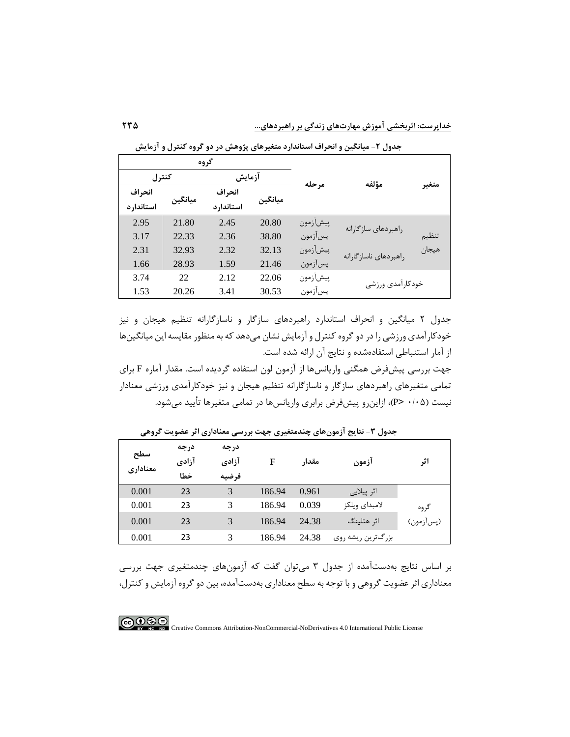|           |         | گروه       |         |          |                        |       |
|-----------|---------|------------|---------|----------|------------------------|-------|
| كنترل     |         | آزمايش     |         | مرحله    |                        |       |
| انحراف    |         | انحراف     |         |          | مؤلفه                  | متعير |
| استاندارد | ميانگين | استاندار د | ميانگين |          |                        |       |
| 2.95      | 21.80   | 2.45       | 20.80   | پيشآزمون | راهبردهای سازگارانه    |       |
| 3.17      | 22.33   | 2.36       | 38.80   | پسآزمون  |                        | تنظيم |
| 2.31      | 32.93   | 2.32       | 32.13   | پيشآزمون | راهبردهای ناساز گارانه | هيجان |
| 1.66      | 28.93   | 1.59       | 21.46   | پسآزمون  |                        |       |
| 3.74      | 22      | 2.12       | 22.06   | پيشأزمون | خودكارأمدى ورزشى       |       |
| 1.53      | 20.26   | 3.41       | 30.53   | پسأزمون  |                        |       |

**جدول -2 میانگین و انحراف استاندارد متغیرهای پژوهش در دو گروه کنترل و آزمايش** 

جدول 2 میانگین و انحراف استاندارد راهبردهای سازگار و ناسازگارانه تنظیم هیجان و نیز خودکارآمدی ورزشی را در دو گروه کنترل و آزمایش نشان میدهد که به منظور مقایسه این میانگینها از آمار استنباطی استفادهشده و نتایج آن ارائه شده است.

جهت بررسی پیشفرض همگنی واریانسها از آزمون لون استفاده گردیده است. مقدار آماره F برای تمامی متغیرهای راهبردهای سازگار و ناسازگارانه تنظیم هیجان و نیز خودکارآمدی ورزشی معنادار نیست )0/05 >P)، ازاینرو پیشفرض برابری واریانسها در تمامی متغیرها تأیید میشود.

| سطح<br>معنادارى | درجه<br>آزادي<br>خطا | درجه<br>آزادى<br>فرضيه | F      | مقدار | آزمون             | اثر       |
|-----------------|----------------------|------------------------|--------|-------|-------------------|-----------|
| 0.001           | 23                   | 3                      | 186.94 | 0.961 | اثر پيلايي        |           |
| 0.001           | 23                   | 3                      | 186.94 | 0.039 | لامبداى ويلكز     | گروه      |
| 0.001           | 23                   | 3                      | 186.94 | 24.38 | اثر هتلينگ        | (پسأزمون) |
| 0.001           | 23                   | 3                      | 186.94 | 24.38 | بزرگترین ریشه روی |           |

**جدول -3 نتايج آزمونهای چندمتغیری جهت بررسی معناداری اثر عضويت گروهی** 

بر اساس نتایج بهدستآمده از جدول 3 م یتوان گفت که آزمون های چندمتغیری جهت بررسی معناداری اثر عضویت گروهی و با توجه به سطح معناداری بهدستآمده، بین دو گروه آزمایش و کنترل،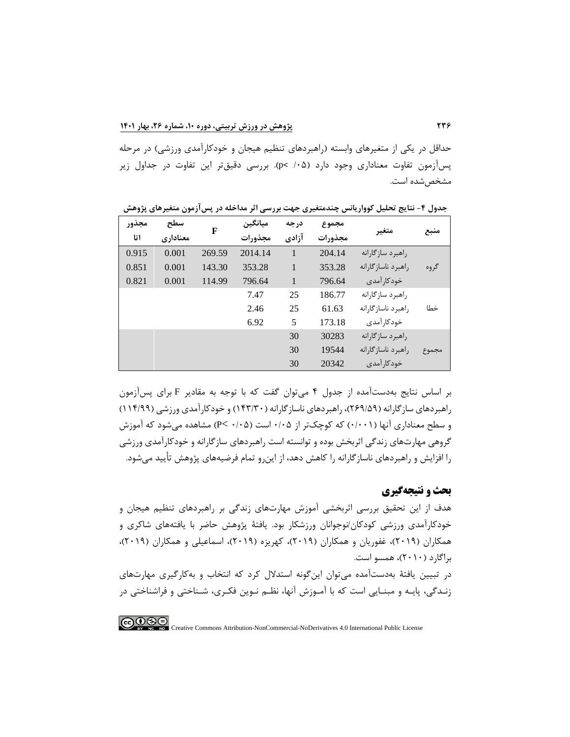حداقل در یکی از متغیرهای وابسته (راهبردهای تنظیم هیجان و خودکارآمدی ورزشی) در مرحله پ سآزمون تفاوت معناداری وجود دارد )/05 <p). بررسی دقیقتر این تفاوت در جداول زیر مشخص شده است.

| مجذور | سطح      | F      | ميانگين | درجه         | مجموع   |                        |       |
|-------|----------|--------|---------|--------------|---------|------------------------|-------|
| اتا   | معناداري |        | مجذورات | آزادي        | مجذورات | متغير                  | منبع  |
| 0.915 | 0.001    | 269.59 | 2014.14 | 1            | 204.14  | راهبرد سازگارانه       |       |
| 0.851 | 0.001    | 143.30 | 353.28  | $\mathbf{1}$ | 353.28  | , اهېر د ناساز گا, انه | گروه  |
| 0.821 | 0.001    | 114.99 | 796.64  | $\mathbf{1}$ | 796.64  | خودکار آمدی            |       |
|       |          |        | 7.47    | 25           | 186.77  | راهبرد سازگارانه       |       |
|       |          |        | 2.46    | 25           | 61.63   | , اهېر د ناساز گا, انه | خطا   |
|       |          |        | 6.92    | 5            | 173.18  | خودکا, آمدی            |       |
|       |          |        |         | 30           | 30283   | راهبرد سازگارانه       |       |
|       |          |        |         | 30           | 19544   | , اهیر د ناساز گا, انه | مجموع |
|       |          |        |         | 30           | 20342   | خودکا, آمدی            |       |

**جدول -4 نتايج تحلیل کوواريانس چندمتغیری جهت بررسی اثر مداخله در پسآزمون متغیرهای پژوهش**

بر اساس نتایج بهدستآمده از جدول 4 میتوان گفت که با توجه به مقادیر F برای پسآزمون راهبردهای سازگارانه )269/59(، راهبردهای ناسازگارانه )143/30( و خودکارآمدی ورزشی )114/99( و سطح معناداری آنها )0/001( که کوچک تر از 0/05 است )0/05 >P )مشاهده میشود که آموزش گروهی مهارتهای زندگی اثربخش بوده و توانسته است راهبردهای سازگارانه و خودکارآمدی ورزشی را افزایش و راهبردهای ناسازگارانه را کاهش دهد، از اینرو تمام فرضیه های پژوهش تأیید میشود.

# **بحث و نتیجه گیری**

هدف از این تحقیق بررسی اثربخشی آموزش مهارت های زندگی بر راهبردهای تنظیم هیجان و خودکارآمدی ورزشی کودکان/نوجوانان ورزشکار بود. یافتۀ پژوهش حاضر با ی افتههای شاکری و همکاران (۲۰۱۹)، غفوریان و همکاران (۲۰۱۹)، کهریزه (۲۰۱۹)، اسماعیلی و همکاران (۲۰۱۹)، براگارد )2010(، همسو است.

در تبیین یافتۀ به دستآمده میتوان اینگونه استدالل کرد که انتخاب و بهکارگیری مهارت های زنـدگی، پایـه و مبنـایی است که با آمـوزش آنها، نظـم نـوین فکـری، شـناختی و فراشناختی در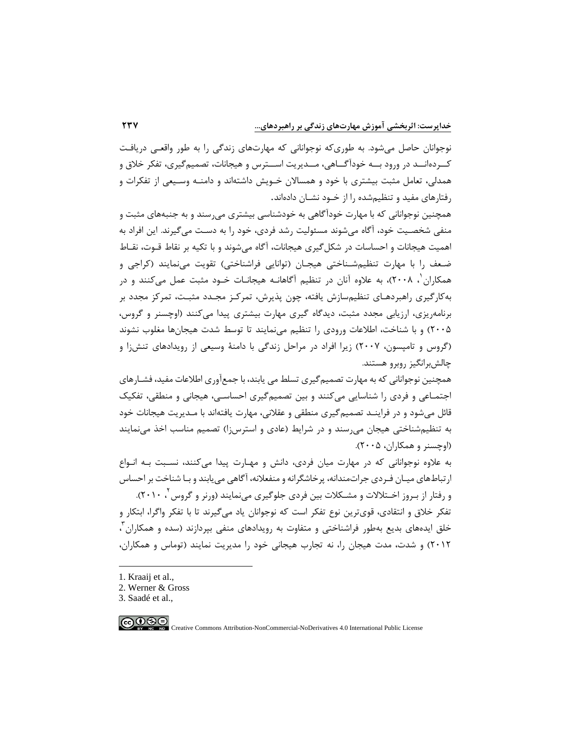نوجوانان حاصل میشود. به طوریکه نوجوانانی که مهارتهای زندگی را به طور واقعـی دریافـت کــردهانــد در ورود بــه خودآگــاهی، مــدیریت اســترس و هیجانات، تصمیمگیری، تفکر خالق و همدلی، تعامل مثبت بیشتری با خود و همسالان خـویش داشتهاند و دامنـه وسـیعی از تفکرات و رفتارهای مفید و تنظیمشده را از خـود نشـان دادهاند.

همچنین نوجوانانی که با مهارت خودآگاهی به خودشناسی بیشتری میرسند و به جنبههای مثبت و منفی شخصـیت خود، آگاه میشوند مسئولیت رشد فردی، خود را به دسـت میگیرند. این افراد به اهمیت هیجانات و احساسات در شکلگیری هیجانات، آگاه میشوند و با تکیه بر نقاط قـوت، نقـاط ضـعف را با مهارت تنظیمشـناختی هیجـان (توانایی فراشناختی) تقویت می،نمایند (کراجی و همکاران <sup>۱</sup>، ۲۰۰۸)، به علاوه آنان در تنظیم آگاهانـه هیجانـات خـود مثبت عمل میکنند و در بهکارگیری راهبردهـای تنظیمسازش یافته، چون پذیرش، تمرکـز مجـدد مثبـت، تمرکز مجدد بر برنامهریزی، ارزیابی مجدد مثبت، دیدگاه گیری مهارت بیشتری پیدا میکنند )اوچسنر و گروس، 2005( و با شناخت، اطالعات ورودی را تنظیم مینمایند تا توسط شدت هیجانها مغلوب نشوند )گروس و تامپسون، 2007( زیرا افراد در مراحل زندگی با دامنۀ وسیعی از رویدادهای تنشزا و چالشبرانگیز روبرو هستند.

همچنین نوجوانانی که به مهارت تصمیمگیری تسلط می یابند، با جمعآوری اطالعات مفید، فشـارهای اجتمـاعی و فردی را شناسایی میکنند و بین تصمیم گیری احساسـی، هیجانی و منطقی، تفکیک قائل میشود و در فراینـد تصمیمگیری منطقی و عقالنی، مهارت یافتهاند با مـدیریت هیجانات خود به تنظیمشناختی هیجان می رسند و در شرایط (عادی و استرسi) تصمیم مناسب اخذ می نمایند )اوچسنر و همکاران، 2005(.

به عالوه نوجوانانی که در مهارت میان فردی، دانش و مهـارت پیدا میکنند، نسـبت بـه انـواع ارتباطهای میـان فـردی جراتمندانه، پرخاشگرانه و منفعالنه، آگاهی مییابند و بـا شناخت بر احساس و رفتار از بـروز اخــتلالات و مشـکلات بین فردی جلوگیری مینمایند (ورنر و گروس<sup>۲</sup> ۲۰۱۰). تفکر خالق و انتقادی، قویترین نوع تفکر است که نوجوانان یاد میگیرند تا با تفکر واگرا، ابتکار و خلق ایدههای بدیع بهطور فراشناختی و متفاوت به رویدادهای منفی بپردازند (سده و همکاران آ 2012( و شدت، مدت هیجان را، نه تجارب هیجانی خود را مدیریت نمایند )توماس و همکاران،

- 1. Kraaij et al.,
- 2. Werner & Gross
- 3. Saadé et al.,

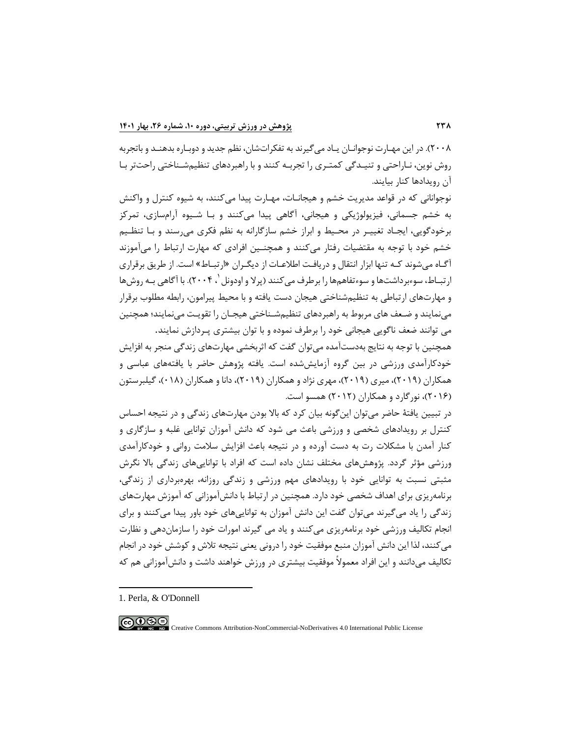2008(. در این مهـارت نوجوانـان یـاد میگیرند به تفکراتشان، نظم جدید و دوبـاره بدهنـد و باتجربه روش نوین، نـاراحتی و تنیـدگی کمتـری را تجربـه کنند و با راهبردهای تنظیمشـناختی راحتتر بـا آن رویدادها کنار بیایند.

نوجوانانی که در قواعد مدیریت خشم و هیجانـات، مهـارت پیدا می کنند، به شیوه کنترل و واکنش به خشم جسمانی، فیزیولوژیکی و هیجانی، آگاهی پیدا میکنند و بـا شـیوه آرامسازی، تمرکز برخودگویی، ایجـاد تغییـر در محـیط و ابراز خشم سازگارانه به نظم فکری میرسند و بـا تنظـیم خشم خود با توجه به مقتضیات رفتار میکنند و همچنـین افرادی که مهارت ارتباط را میآموزند آگـاه م یشوند کـه تنها ابزار انتقال و دریافـت اطالعـات از دیگـران »ارتبـاط« است. از طریق برقراری رتبـاط، سوءبرداشتها و سوءتفاهمها را برطرف میکنند (پرلا و اودونل `، ۲۰۰۴). با آگاهی بـه روشها و مهارتهای ارتباطی به تنظیمشناختی هیجان دست یافته و با محیط پیرامون، رابطه مطلوب برقرار مینمایند و ضـعف های مربوط به راهبردهای تنظیمشـناختی هیجـان را تقویـت م ینمایند؛ همچنین می توانند ضعف ناگویی هیجانی خود را برطرف نموده و با توان بیشتری پـردازش نمایند.

همچنین با توجه به نتایج بهدستآمده می توان گفت که اثربخشی مهارتهای زندگی منجر به افزایش خودکارآمدی ورزشی در بین گروه آزمایششده است. یافته پژوهش حاضر با یافتههای عباسی و همکاران (۲۰۱۹)، میری (۲۰۱۹)، مهری نژاد و همکاران (۲۰۱۹)، دانا و همکاران (۰۱۸)، گیلبرستون )2016(، نورگارد و همکاران )2012( همسو است.

در تبیین یافتۀ حاضر میتوان این گونه بیان کرد که باال بودن مهارتهای زندگی و در نتیجه احساس کنترل بر رویدادهای شخصی و ورزشی باعث می شود که دانش آموزان توانایی غلبه و سازگاری و کنار آمدن با مشکالت رت به دست آورده و در نتیجه باعث افزایش سالمت روانی و خودکارآمدی ورزشی مؤثر گردد. پژوهشهای مختلف نشان داده است که افراد با تواناییهای زندگی باال نگرش مثبتی نسبت به توانایی خود با رویدادهای مهم ورزشی و زندگی روزانه، بهرهبرداری از زندگی، برنامهریزی برای اهداف شخصی خود دارد. همچنین در ارتباط با دانشآموزانی که آموزش مهارت های زندگی را یاد می گیرند می توان گفت این دانش آموزان به توانایی های خود باور پیدا می کنند و برای انجام تکالیف ورزشی خود برنامهریزی میکنند و یاد می گیرند امورات خود را سازماندهی و نظارت میکنند، لذا این دانش آموزان منبع موفقیت خود را درونی یعنی نتیجه تالش و کوشش خود در انجام تکالیف میدانند و این افراد معموالً موفقیت بیشتری در ورزش خواهند داشت و دانشآموزانی هم که

<sup>1.</sup> Perla, & O'Donnell

 $\bigcirc$  000 Creative Commons Attribution-NonCommercial-NoDerivatives 4.0 International Public License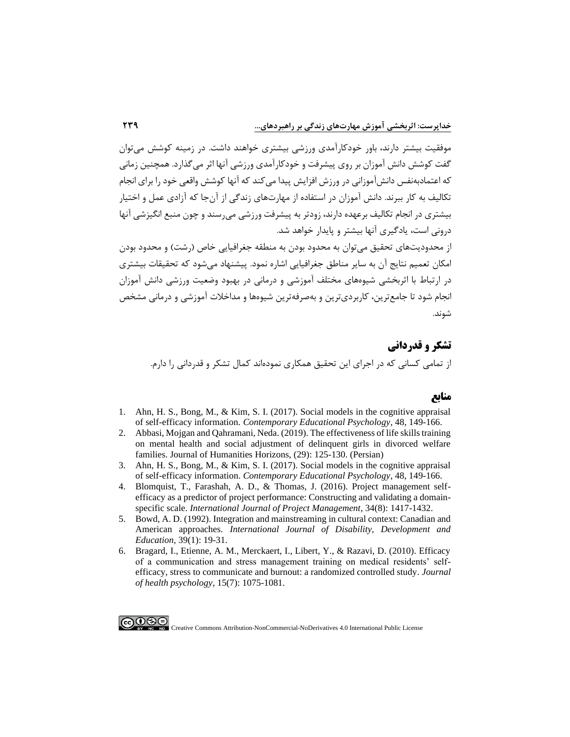موفقیت بیشتر دارند، باور خودکارآمدی ورزشی بیشتری خواهند داشت. در زمینه کوشش میتوان گفت کوشش دانش آموزان بر روی پیشرفت و خودکارآمدی ورزشی آنها اثر میگذارد. همچنین زمانی که اعتمادبهنفس دانشآموزانی در ورزش افزایش پیدا میکند که آنها کوشش واقعی خود را برای انجام تکالیف به کار ببرند. دانش آموزان در استفاده از مهارتهای زندگی از آنجا که آزادی عمل و اختیار بیشتری در انجام تکالیف برعهده دارند، زودتر به پیشرفت ورزشی میرسند و چون منبع انگیزشی آنها درونی است، یادگیری آنها بیشتر و پایدار خواهد شد.

از محدودیتهای تحقیق می توان به محدود بودن به منطقه جغرافیایی خاص (رشت) و محدود بودن امکان تعمیم نتایج آن به سایر مناطق جغرافیایی اشاره نمود. پ یشنهاد میشود که تحقیقات بیشتری در ارتباط با اثربخشی شیوه های مختلف آموزشی و درمانی در بهبود وضعیت ورزشی دانش آموزان انجام شود تا جامعترین، کاربردیترین و بهصرفهترین شیوه ها و مداخالت آموزشی و درمانی مشخص شوند.

# **تشکر و قدردانی**

از تمامی کسانی که در اجرای این تحقیق همکاری نمودهاند کمال تشکر و قدردانی را دارم.

# **منابع**

- 1. [Ahn, H. S., Bong, M., & Kim, S. I. \(2017\). Social models in the cognitive appraisal](https://www.sciencedirect.com/science/article/abs/pii/S0361476X16300364)  of self-efficacy information. *[Contemporary Educational Psychology](https://www.sciencedirect.com/science/article/abs/pii/S0361476X16300364)*, 48, 149-166.
- 2. [Abbasi, Mojgan and Qahramani, Neda. \(2019\). The effectiveness of life skills training](http://ensani.ir/file/download/article/1572853514-10123-98-181.pdf)  [on mental health and social adjustment of delinquent girls in divorced welfare](http://ensani.ir/file/download/article/1572853514-10123-98-181.pdf)  [families. Journal of Humanities Horizons, \(29\):](http://ensani.ir/file/download/article/1572853514-10123-98-181.pdf) 125-130. (Persian)
- 3. [Ahn, H. S., Bong, M., & Kim, S. I. \(2017\). Social models in the cognitive appraisal](https://www.sciencedirect.com/science/article/abs/pii/S0361476X16300364)  of self-efficacy information. *[Contemporary Educational Psychology](https://www.sciencedirect.com/science/article/abs/pii/S0361476X16300364)*, 48, 149-166.
- 4. [Blomquist, T., Farashah, A. D., & Thomas, J. \(2016\). Project management self](https://www.sciencedirect.com/science/article/abs/pii/S0263786316300618)[efficacy as a predictor of project performance: Constructing and validating a domain](https://www.sciencedirect.com/science/article/abs/pii/S0263786316300618)specific scale. *[International Journal of Project Management](https://www.sciencedirect.com/science/article/abs/pii/S0263786316300618)*, 34(8): 1417-1432.
- 5. [Bowd, A. D. \(1992\). Integration and mainstreaming in cultural context: Canadian and](https://www.tandfonline.com/doi/abs/10.1080/0156655920390104)  American approaches. *[International Journal of Disability, Development and](https://www.tandfonline.com/doi/abs/10.1080/0156655920390104)  [Education](https://www.tandfonline.com/doi/abs/10.1080/0156655920390104)*, 39(1): 19-31.
- 6. [Bragard, I., Etienne, A. M., Merckaert, I., Libert, Y., & Razavi, D. \(2010\). Efficacy](https://journals.sagepub.com/doi/abs/10.1177/1359105310361992)  [of a communication and stress management training on medical residents' self](https://journals.sagepub.com/doi/abs/10.1177/1359105310361992)[efficacy, stress to communicate and burnout: a randomized controlled study.](https://journals.sagepub.com/doi/abs/10.1177/1359105310361992) *Journal [of health psychology](https://journals.sagepub.com/doi/abs/10.1177/1359105310361992)*, 15(7): 1075-1081.

 $\bigodot_{\text{BV}}\bigodot_{\text{W}}$ Creative Commons Attribution-NonCommercial-NoDerivatives 4.0 International Public License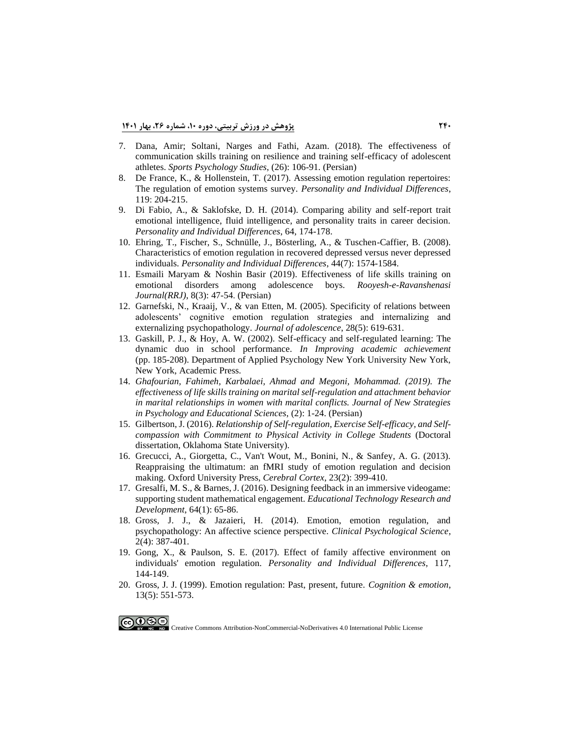- 7. [Dana, Amir; Soltani, Narges and Fathi, Azam. \(2018\). The effectiveness of](https://spsyj.ssrc.ac.ir/article_1488_a71cfabd9f9167a10fbe1aa3a66b14a7.pdf)  [communication skills training on resilience and training self-efficacy of adolescent](https://spsyj.ssrc.ac.ir/article_1488_a71cfabd9f9167a10fbe1aa3a66b14a7.pdf)  athletes. *[Sports Psychology Studies](https://spsyj.ssrc.ac.ir/article_1488_a71cfabd9f9167a10fbe1aa3a66b14a7.pdf)*, (26): 106-91. (Persian)
- 8. [De France, K., & Hollenstein, T. \(2017\). Assessing emotion regulation repertoires:](https://www.sciencedirect.com/science/article/abs/pii/S0191886917304622)  [The regulation of emotion systems survey.](https://www.sciencedirect.com/science/article/abs/pii/S0191886917304622) *Personality and Individual Differences*, 119: [204-215.](https://www.sciencedirect.com/science/article/abs/pii/S0191886917304622)
- 9. [Di Fabio, A., & Saklofske, D. H. \(2014\). Comparing ability and self-report trait](https://www.sciencedirect.com/science/article/abs/pii/S0191886914001287)  [emotional intelligence, fluid intelligence, and personality traits in career decision.](https://www.sciencedirect.com/science/article/abs/pii/S0191886914001287)  *[Personality and Individual Differences](https://www.sciencedirect.com/science/article/abs/pii/S0191886914001287)*, 64, 174-178.
- 10. [Ehring, T., Fischer, S., Schnülle, J., Bösterling, A., & Tuschen-Caffier, B. \(2008\).](https://www.sciencedirect.com/science/article/abs/pii/S0191886908000263)  [Characteristics of emotion regulation in recovered depressed versus never depressed](https://www.sciencedirect.com/science/article/abs/pii/S0191886908000263)  individuals. *[Personality and Individual Differences](https://www.sciencedirect.com/science/article/abs/pii/S0191886908000263)*, 44(7): 1574-1584.
- 11. [Esmaili Maryam & Noshin Basir \(2019\). Effectiveness](http://frooyesh.ir/browse.php?a_code=A-10-991-1&slc_lang=fa&sid=1) of life skills training on [emotional disorders among adolescence boys.](http://frooyesh.ir/browse.php?a_code=A-10-991-1&slc_lang=fa&sid=1) *Rooyesh-e-Ravanshenasi [Journal\(RRJ\)](http://frooyesh.ir/browse.php?a_code=A-10-991-1&slc_lang=fa&sid=1)*, 8(3): 47-54. (Persian)
- 12. [Garnefski, N., Kraaij, V., & van Etten, M. \(2005\). Specificity of relations between](https://www.sciencedirect.com/science/article/abs/pii/S0140197105000084)  [adolescents' cognitive emotion regulation strategies and internalizing and](https://www.sciencedirect.com/science/article/abs/pii/S0140197105000084)  [externalizing psychopathology.](https://www.sciencedirect.com/science/article/abs/pii/S0140197105000084) *Journal of adolescence*, 28(5): 619-631.
- 13. [Gaskill, P. J., & Hoy, A. W. \(2002\). Self-efficacy and self-regulated learning: The](https://www.sciencedirect.com/science/article/pii/B9780120644551500129)  [dynamic duo in school performance.](https://www.sciencedirect.com/science/article/pii/B9780120644551500129) *In Improving academic achievement* [\(pp. 185-208\). Department of Applied Psychology New York University New York,](https://www.sciencedirect.com/science/article/pii/B9780120644551500129)  [New York, Academic Press.](https://www.sciencedirect.com/science/article/pii/B9780120644551500129)
- 14. *[Ghafourian, Fahimeh, Karbalaei, Ahmad and Megoni, Mohammad. \(2019\). The](https://www.noormags.ir/view/en/articlepage/110904/1/text)  [effectiveness of life skills training on marital self-regulation and attachment behavior](https://www.noormags.ir/view/en/articlepage/110904/1/text)  [in marital relationships in women with marital conflicts. Journal of New Strategies](https://www.noormags.ir/view/en/articlepage/110904/1/text)  [in Psychology and Educational Sciences](https://www.noormags.ir/view/en/articlepage/110904/1/text)*, (2): 1-24. (Persian)
- 15. Gilbertson, J. (2016). *[Relationship of Self-regulation, Exercise Self-efficacy, and Self](https://www.semanticscholar.org/paper/Relationship-of-Self-regulation%2C-Exercise-and-with-Gilbertson/5ea08ac6d876954c794bd39fc4b2d1081fc7159a)[compassion with Commitment to Physical Activity in College Students](https://www.semanticscholar.org/paper/Relationship-of-Self-regulation%2C-Exercise-and-with-Gilbertson/5ea08ac6d876954c794bd39fc4b2d1081fc7159a)* (Doctoral [dissertation, Oklahoma State University\).](https://www.semanticscholar.org/paper/Relationship-of-Self-regulation%2C-Exercise-and-with-Gilbertson/5ea08ac6d876954c794bd39fc4b2d1081fc7159a)
- 16. [Grecucci, A., Giorgetta, C., Van't Wout, M., Bonini, N., & Sanfey, A. G. \(2013\).](https://watermark.silverchair.com/bhs028.pdf?token=AQECAHi208BE49Ooan9kkhW_Ercy7Dm3ZL_9Cf3qfKAc485ysgAAAsUwggLBBgkqhkiG9w0BBwagggKyMIICrgIBADCCAqcGCSqGSIb3DQEHATAeBglghkgBZQMEAS4wEQQMaiSPqp_F3hII--pAAgEQgIICeNtRjOzDPGNs4L_EgNKbB-eev5xgfV5qD43dugbl1GuQjUwWApPyiWXBPqYsi0nYTvitnJ_laaAlstoyQNXpINqDeZO8LhFk85rVH-fWGWac8qaaWHYUbBEZionrZc_Y_4ABEpusOefYDG0NORC_k4SiH_64EB5RouCdCLgPCVrAZaW90vwVtvyJsDKKMiqXSCNWFZN-AsBhbOYB7GiyBDYUiHmBtu8-ueqMHHL9tdw9AAPwD79YwWcQJg7Pkb2LQXFkM8998aPN_RnZ7FZf1XejPrhGsk68t5lj9YmJZV-UkhQW8kv_ZP6EDOwqMCyeozkfC_X8h5XN3po5muJiZStzwi_TbYydY6ZZ8JlKETCCUbRGMbxsoRX4ksbqKT6WLTwxlzwlbzyRIsWbacjWpbjlEcNXxSKVddrha_kraeZSnpyW-oUGq2nTVr4C6H8Fdvx6kcgfK1lBQUwqiHEakptA-b-BX-DD5p6jk4Hje5QSS1rW_7iNwUwykegHrbzI_udS_wUExLJNJJIq53f3oVfEgq8nWB7FO445pf9NnupJuSxy3254upXPiaOtcSwB5QCS1MAse_qWn_SYWDB7UdeENyFbaB4jOu9uCkEiwnLtHfmei_yyb4C5Zl3ijon82oN-MH0Xz7rcE26h1KCc05fXV1obAXY_v8nwdimZGQ0XcYlCIcFm4U6oolt_cKQWopeZgR0VZMG5_yFe8kffGOWAVRUQfEZRB8EAQx0ecVED3YVDS5d4iiUL-piDEmZWHMWnRPzqnnYBRLLW9gj9KrhBbwchkPAj9lcWoRQZQbharv-14n1GGzcxQ4CmLd1T34mg_1rGjWdf)  [Reappraising the ultimatum: an fMRI study of emotion regulation and decision](https://watermark.silverchair.com/bhs028.pdf?token=AQECAHi208BE49Ooan9kkhW_Ercy7Dm3ZL_9Cf3qfKAc485ysgAAAsUwggLBBgkqhkiG9w0BBwagggKyMIICrgIBADCCAqcGCSqGSIb3DQEHATAeBglghkgBZQMEAS4wEQQMaiSPqp_F3hII--pAAgEQgIICeNtRjOzDPGNs4L_EgNKbB-eev5xgfV5qD43dugbl1GuQjUwWApPyiWXBPqYsi0nYTvitnJ_laaAlstoyQNXpINqDeZO8LhFk85rVH-fWGWac8qaaWHYUbBEZionrZc_Y_4ABEpusOefYDG0NORC_k4SiH_64EB5RouCdCLgPCVrAZaW90vwVtvyJsDKKMiqXSCNWFZN-AsBhbOYB7GiyBDYUiHmBtu8-ueqMHHL9tdw9AAPwD79YwWcQJg7Pkb2LQXFkM8998aPN_RnZ7FZf1XejPrhGsk68t5lj9YmJZV-UkhQW8kv_ZP6EDOwqMCyeozkfC_X8h5XN3po5muJiZStzwi_TbYydY6ZZ8JlKETCCUbRGMbxsoRX4ksbqKT6WLTwxlzwlbzyRIsWbacjWpbjlEcNXxSKVddrha_kraeZSnpyW-oUGq2nTVr4C6H8Fdvx6kcgfK1lBQUwqiHEakptA-b-BX-DD5p6jk4Hje5QSS1rW_7iNwUwykegHrbzI_udS_wUExLJNJJIq53f3oVfEgq8nWB7FO445pf9NnupJuSxy3254upXPiaOtcSwB5QCS1MAse_qWn_SYWDB7UdeENyFbaB4jOu9uCkEiwnLtHfmei_yyb4C5Zl3ijon82oN-MH0Xz7rcE26h1KCc05fXV1obAXY_v8nwdimZGQ0XcYlCIcFm4U6oolt_cKQWopeZgR0VZMG5_yFe8kffGOWAVRUQfEZRB8EAQx0ecVED3YVDS5d4iiUL-piDEmZWHMWnRPzqnnYBRLLW9gj9KrhBbwchkPAj9lcWoRQZQbharv-14n1GGzcxQ4CmLd1T34mg_1rGjWdf)  [making. Oxford University Press,](https://watermark.silverchair.com/bhs028.pdf?token=AQECAHi208BE49Ooan9kkhW_Ercy7Dm3ZL_9Cf3qfKAc485ysgAAAsUwggLBBgkqhkiG9w0BBwagggKyMIICrgIBADCCAqcGCSqGSIb3DQEHATAeBglghkgBZQMEAS4wEQQMaiSPqp_F3hII--pAAgEQgIICeNtRjOzDPGNs4L_EgNKbB-eev5xgfV5qD43dugbl1GuQjUwWApPyiWXBPqYsi0nYTvitnJ_laaAlstoyQNXpINqDeZO8LhFk85rVH-fWGWac8qaaWHYUbBEZionrZc_Y_4ABEpusOefYDG0NORC_k4SiH_64EB5RouCdCLgPCVrAZaW90vwVtvyJsDKKMiqXSCNWFZN-AsBhbOYB7GiyBDYUiHmBtu8-ueqMHHL9tdw9AAPwD79YwWcQJg7Pkb2LQXFkM8998aPN_RnZ7FZf1XejPrhGsk68t5lj9YmJZV-UkhQW8kv_ZP6EDOwqMCyeozkfC_X8h5XN3po5muJiZStzwi_TbYydY6ZZ8JlKETCCUbRGMbxsoRX4ksbqKT6WLTwxlzwlbzyRIsWbacjWpbjlEcNXxSKVddrha_kraeZSnpyW-oUGq2nTVr4C6H8Fdvx6kcgfK1lBQUwqiHEakptA-b-BX-DD5p6jk4Hje5QSS1rW_7iNwUwykegHrbzI_udS_wUExLJNJJIq53f3oVfEgq8nWB7FO445pf9NnupJuSxy3254upXPiaOtcSwB5QCS1MAse_qWn_SYWDB7UdeENyFbaB4jOu9uCkEiwnLtHfmei_yyb4C5Zl3ijon82oN-MH0Xz7rcE26h1KCc05fXV1obAXY_v8nwdimZGQ0XcYlCIcFm4U6oolt_cKQWopeZgR0VZMG5_yFe8kffGOWAVRUQfEZRB8EAQx0ecVED3YVDS5d4iiUL-piDEmZWHMWnRPzqnnYBRLLW9gj9KrhBbwchkPAj9lcWoRQZQbharv-14n1GGzcxQ4CmLd1T34mg_1rGjWdf) *Cerebral Cortex*, 23(2): 399-410.
- 17. [Gresalfi, M. S., & Barnes, J. \(2016\). Designing feedback in an immersive videogame:](https://link.springer.com/article/10.1007%2Fs11423-015-9411-8)  [supporting student mathematical engagement.](https://link.springer.com/article/10.1007%2Fs11423-015-9411-8) *Educational Technology Research and [Development](https://link.springer.com/article/10.1007%2Fs11423-015-9411-8)*, 64(1): 65-86.
- 18. [Gross, J. J., & Jazaieri, H. \(2014\). Emotion, emotion regulation, and](https://journals.sagepub.com/doi/abs/10.1177/2167702614536164)  [psychopathology: An affective science perspective.](https://journals.sagepub.com/doi/abs/10.1177/2167702614536164) *Clinical Psychological Science*, 2(4): [387-401.](https://journals.sagepub.com/doi/abs/10.1177/2167702614536164)
- 19. [Gong, X., & Paulson, S. E. \(2017\). Effect of family affective environment on](https://www.sciencedirect.com/science/article/abs/pii/S0191886917303847)  individuals' emotion regulation. *[Personality and Individual Differences](https://www.sciencedirect.com/science/article/abs/pii/S0191886917303847)*, 117, [144-149.](https://www.sciencedirect.com/science/article/abs/pii/S0191886917303847)
- 20. [Gross, J. J. \(1999\). Emotion regulation: Past, present, future.](https://www.tandfonline.com/doi/abs/10.1080/026999399379186) *Cognition & emotion*, 13(5): [551-573.](https://www.tandfonline.com/doi/abs/10.1080/026999399379186)

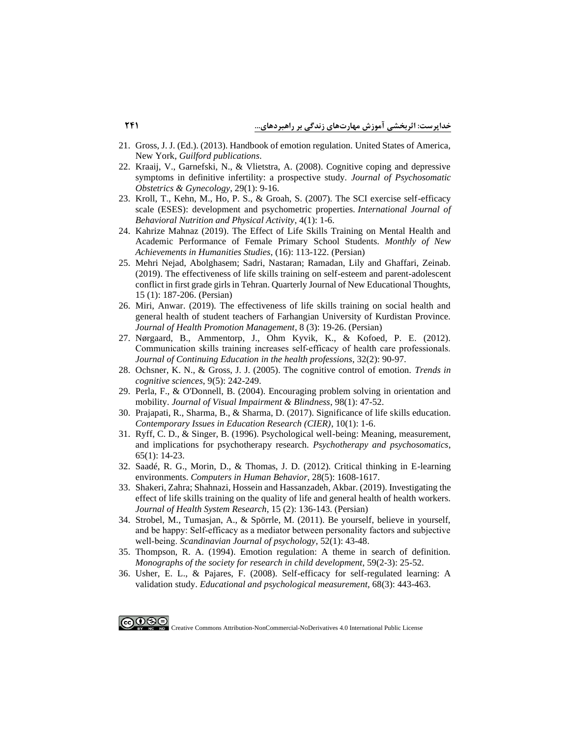- 21. [Gross, J. J. \(Ed.\). \(2013\). Handbook of emotion regulation. United States of America,](https://www.guilford.com/books/Handbook-of-Emotion-Regulation/James-Gross/9781462520732/reviews)  New York, *[Guilford publications](https://www.guilford.com/books/Handbook-of-Emotion-Regulation/James-Gross/9781462520732/reviews)*.
- 22. [Kraaij, V., Garnefski, N., & Vlietstra, A. \(2008\). Cognitive coping and depressive](https://www.tandfonline.com/doi/abs/10.1080/01674820701505889)  [symptoms in definitive infertility: a prospective study.](https://www.tandfonline.com/doi/abs/10.1080/01674820701505889) *Journal of Psychosomatic [Obstetrics & Gynecology](https://www.tandfonline.com/doi/abs/10.1080/01674820701505889)*, 29(1): 9-16.
- 23. [Kroll, T., Kehn, M., Ho, P. S., & Groah, S. \(2007\). The SCI exercise self-efficacy](https://ijbnpa.biomedcentral.com/track/pdf/10.1186/1479-5868-4-34.pdf)  [scale \(ESES\): development and psychometric properties.](https://ijbnpa.biomedcentral.com/track/pdf/10.1186/1479-5868-4-34.pdf) *International Journal of [Behavioral Nutrition and Physical Activity](https://ijbnpa.biomedcentral.com/track/pdf/10.1186/1479-5868-4-34.pdf)*, 4(1): 1-6.
- 24. [Kahrize Mahnaz \(2019\). The Effect of Life Skills Training on Mental Health and](http://ensani.ir/file/download/article/1612094533-10144-99-121.pdf)  [Academic Performance of Female Primary School Students.](http://ensani.ir/file/download/article/1612094533-10144-99-121.pdf) *Monthly of New [Achievements in Humanities Studies](http://ensani.ir/file/download/article/1612094533-10144-99-121.pdf)*, (16): 113-122. (Persian)
- 25. [Mehri Nejad, Abolghasem; Sadri, Nastaran; Ramadan, Lily and Ghaffari, Zeinab.](https://jontoe.alzahra.ac.ir/article_4003_e135ac9d585858f1daa8393a4c5efc93.pdf)  [\(2019\). The effectiveness of life skills training on self-esteem and parent-adolescent](https://jontoe.alzahra.ac.ir/article_4003_e135ac9d585858f1daa8393a4c5efc93.pdf)  [conflict in first grade girls in Tehran. Quarterly Journal of New Educational Thoughts,](https://jontoe.alzahra.ac.ir/article_4003_e135ac9d585858f1daa8393a4c5efc93.pdf)  15 (1): 187-206. [\(Persian\)](https://jontoe.alzahra.ac.ir/article_4003_e135ac9d585858f1daa8393a4c5efc93.pdf)
- 26. [Miri, Anwar. \(2019\). The effectiveness of life skills training on social health and](http://jhpm.ir/article-1-1009-fa.pdf)  [general health of student teachers of Farhangian University of Kurdistan Province.](http://jhpm.ir/article-1-1009-fa.pdf)  *[Journal of Health Promotion Management](http://jhpm.ir/article-1-1009-fa.pdf)*, 8 (3): 19-26. (Persian)
- 27. [Nørgaard, B., Ammentorp, J., Ohm Kyvik, K., & Kofoed, P. E. \(2012\).](https://onlinelibrary.wiley.com/doi/abs/10.1002/chp.21131)  [Communication skills training increases self‐efficacy of health care professionals.](https://onlinelibrary.wiley.com/doi/abs/10.1002/chp.21131)  *[Journal of Continuing Education in the health professions](https://onlinelibrary.wiley.com/doi/abs/10.1002/chp.21131)*, 32(2): 90-97.
- 28. [Ochsner, K. N., & Gross, J. J. \(2005\). The cognitive control of emotion.](https://www.sciencedirect.com/science/article/abs/pii/S1364661305000902) *Trends in [cognitive sciences](https://www.sciencedirect.com/science/article/abs/pii/S1364661305000902)*, 9(5): 242-249.
- 29. [Perla, F., & O'Donnell, B. \(2004\). Encouraging problem solving in orientation and](https://journals.sagepub.com/doi/abs/10.1177/0145482X0409800105?journalCode=jvba)  mobility. *[Journal of Visual Impairment & Blindness](https://journals.sagepub.com/doi/abs/10.1177/0145482X0409800105?journalCode=jvba)*, 98(1): 47-52.
- 30. [Prajapati, R., Sharma, B., & Sharma, D. \(2017\). Significance of life skills education.](https://www.clutejournals.com/index.php/CIER/article/view/9875)  *[Contemporary Issues in Education Research \(CIER\)](https://www.clutejournals.com/index.php/CIER/article/view/9875)*, 10(1): 1-6.
- 31. [Ryff, C. D., & Singer, B. \(1996\). Psychological well-being: Meaning, measurement,](https://www.karger.com/Article/Abstract/289026)  [and implications for psychotherapy research.](https://www.karger.com/Article/Abstract/289026) *Psychotherapy and psychosomatics*, 65(1): [14-23.](https://www.karger.com/Article/Abstract/289026)
- 32. [Saadé, R. G., Morin, D., & Thomas, J. D. \(2012\). Critical thinking in E-learning](https://www.sciencedirect.com/science/article/abs/pii/S074756321200091X)  environments. *Computers in [Human Behavior](https://www.sciencedirect.com/science/article/abs/pii/S074756321200091X)*, 28(5): 1608-1617.
- 33. [Shakeri, Zahra; Shahnazi, Hossein and Hassanzadeh, Akbar. \(2019\). Investigating the](http://azh.mui.ac.ir/index.php/jhsr/article/view/3561)  [effect of life skills training on the quality of life and general health of health workers.](http://azh.mui.ac.ir/index.php/jhsr/article/view/3561)  *[Journal of Health System Research](http://azh.mui.ac.ir/index.php/jhsr/article/view/3561)*, 15 (2): 136-143. (Persian)
- 34. [Strobel, M., Tumasjan, A., & Spörrle, M. \(2011\). Be yourself, believe in yourself,](https://onlinelibrary.wiley.com/doi/abs/10.1111/j.1467-9450.2010.00826.x)  [and be happy: Self‐efficacy as a mediator between personality factors and subjective](https://onlinelibrary.wiley.com/doi/abs/10.1111/j.1467-9450.2010.00826.x)  well‐being. *[Scandinavian Journal of psychology](https://onlinelibrary.wiley.com/doi/abs/10.1111/j.1467-9450.2010.00826.x)*, 52(1): 43-48.
- 35. [Thompson, R. A. \(1994\). Emotion regulation: A theme in search of definition.](https://srcd.onlinelibrary.wiley.com/doi/abs/10.1111/j.1540-5834.1994.tb01276.x)  *[Monographs of the society for research in child development](https://srcd.onlinelibrary.wiley.com/doi/abs/10.1111/j.1540-5834.1994.tb01276.x)*, 59(2-3): 25-52.
- 36. [Usher, E. L., & Pajares, F. \(2008\). Self-efficacy for self-regulated learning: A](https://journals.sagepub.com/doi/abs/10.1177/0013164407308475)  validation study. *[Educational and psychological measurement](https://journals.sagepub.com/doi/abs/10.1177/0013164407308475)*, 68(3): 443-463.

Creative Commons Attribution-NonCommercial-NoDerivatives 4.0 International Public License

ெ⊕⊕